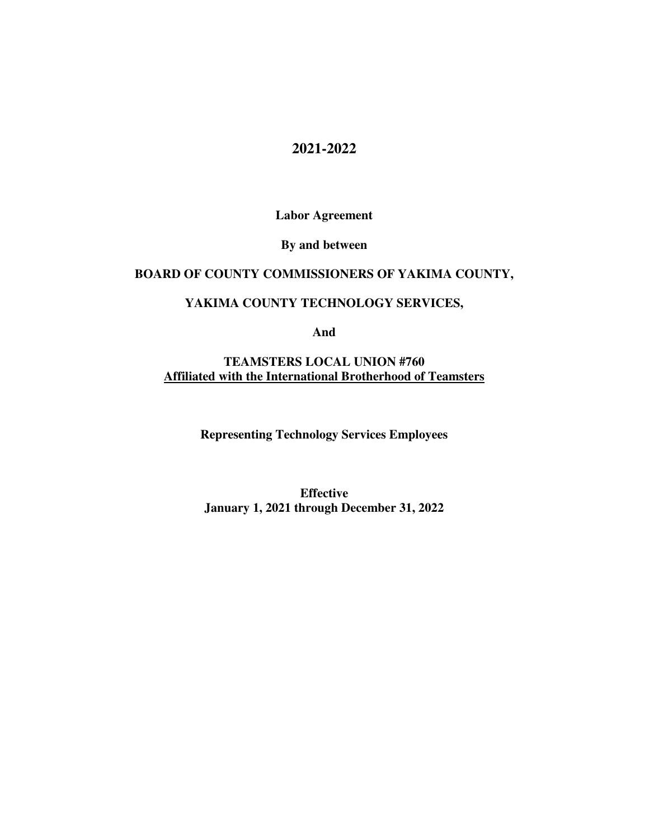#### **2021-2022**

**Labor Agreement** 

**By and between** 

#### **BOARD OF COUNTY COMMISSIONERS OF YAKIMA COUNTY,**

#### **YAKIMA COUNTY TECHNOLOGY SERVICES,**

**And** 

#### **TEAMSTERS LOCAL UNION #760 Affiliated with the International Brotherhood of Teamsters**

**Representing Technology Services Employees** 

**Effective January 1, 2021 through December 31, 2022**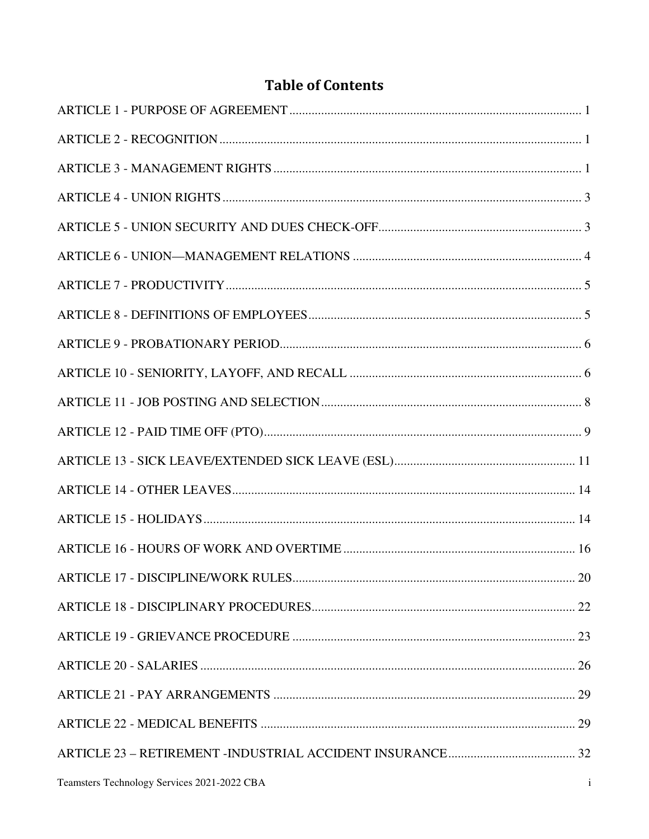# **Table of Contents**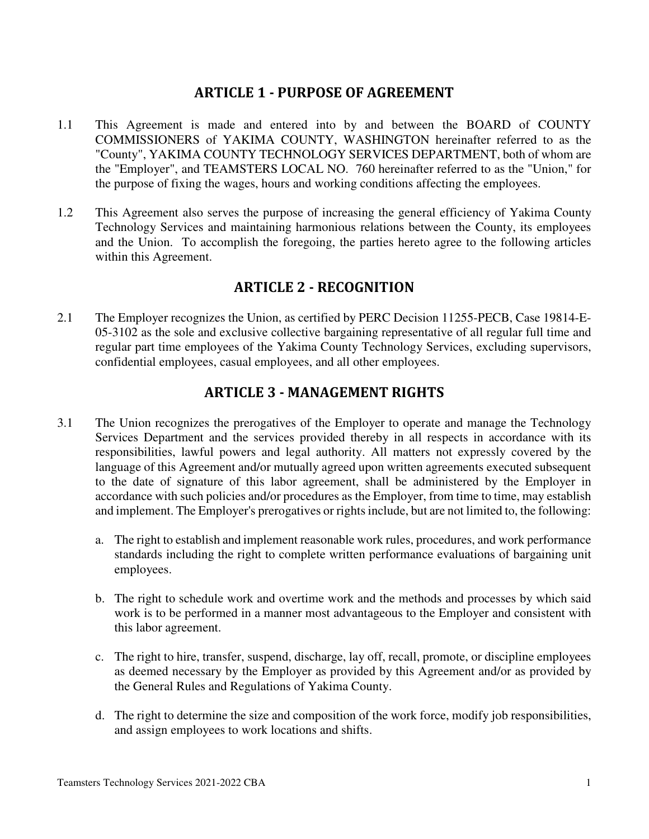#### **ARTICLE 1 - PURPOSE OF AGREEMENT**

- 1.1 This Agreement is made and entered into by and between the BOARD of COUNTY COMMISSIONERS of YAKIMA COUNTY, WASHINGTON hereinafter referred to as the "County", YAKIMA COUNTY TECHNOLOGY SERVICES DEPARTMENT, both of whom are the "Employer", and TEAMSTERS LOCAL NO. 760 hereinafter referred to as the "Union," for the purpose of fixing the wages, hours and working conditions affecting the employees.
- 1.2 This Agreement also serves the purpose of increasing the general efficiency of Yakima County Technology Services and maintaining harmonious relations between the County, its employees and the Union. To accomplish the foregoing, the parties hereto agree to the following articles within this Agreement.

## **ARTICLE 2 - RECOGNITION**

2.1 The Employer recognizes the Union, as certified by PERC Decision 11255-PECB, Case 19814-E-05-3102 as the sole and exclusive collective bargaining representative of all regular full time and regular part time employees of the Yakima County Technology Services, excluding supervisors, confidential employees, casual employees, and all other employees.

# **ARTICLE 3 - MANAGEMENT RIGHTS**

- 3.1 The Union recognizes the prerogatives of the Employer to operate and manage the Technology Services Department and the services provided thereby in all respects in accordance with its responsibilities, lawful powers and legal authority. All matters not expressly covered by the language of this Agreement and/or mutually agreed upon written agreements executed subsequent to the date of signature of this labor agreement, shall be administered by the Employer in accordance with such policies and/or procedures as the Employer, from time to time, may establish and implement. The Employer's prerogatives or rights include, but are not limited to, the following:
	- a. The right to establish and implement reasonable work rules, procedures, and work performance standards including the right to complete written performance evaluations of bargaining unit employees.
	- b. The right to schedule work and overtime work and the methods and processes by which said work is to be performed in a manner most advantageous to the Employer and consistent with this labor agreement.
	- c. The right to hire, transfer, suspend, discharge, lay off, recall, promote, or discipline employees as deemed necessary by the Employer as provided by this Agreement and/or as provided by the General Rules and Regulations of Yakima County.
	- d. The right to determine the size and composition of the work force, modify job responsibilities, and assign employees to work locations and shifts.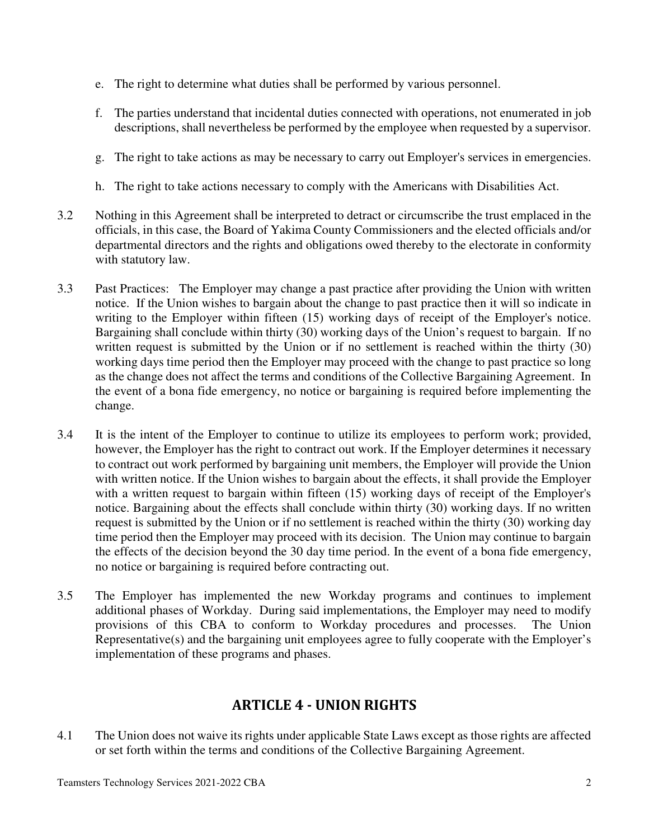- e. The right to determine what duties shall be performed by various personnel.
- f. The parties understand that incidental duties connected with operations, not enumerated in job descriptions, shall nevertheless be performed by the employee when requested by a supervisor.
- g. The right to take actions as may be necessary to carry out Employer's services in emergencies.
- h. The right to take actions necessary to comply with the Americans with Disabilities Act.
- 3.2 Nothing in this Agreement shall be interpreted to detract or circumscribe the trust emplaced in the officials, in this case, the Board of Yakima County Commissioners and the elected officials and/or departmental directors and the rights and obligations owed thereby to the electorate in conformity with statutory law.
- 3.3 Past Practices: The Employer may change a past practice after providing the Union with written notice. If the Union wishes to bargain about the change to past practice then it will so indicate in writing to the Employer within fifteen (15) working days of receipt of the Employer's notice. Bargaining shall conclude within thirty (30) working days of the Union's request to bargain. If no written request is submitted by the Union or if no settlement is reached within the thirty (30) working days time period then the Employer may proceed with the change to past practice so long as the change does not affect the terms and conditions of the Collective Bargaining Agreement. In the event of a bona fide emergency, no notice or bargaining is required before implementing the change.
- 3.4 It is the intent of the Employer to continue to utilize its employees to perform work; provided, however, the Employer has the right to contract out work. If the Employer determines it necessary to contract out work performed by bargaining unit members, the Employer will provide the Union with written notice. If the Union wishes to bargain about the effects, it shall provide the Employer with a written request to bargain within fifteen (15) working days of receipt of the Employer's notice. Bargaining about the effects shall conclude within thirty (30) working days. If no written request is submitted by the Union or if no settlement is reached within the thirty (30) working day time period then the Employer may proceed with its decision. The Union may continue to bargain the effects of the decision beyond the 30 day time period. In the event of a bona fide emergency, no notice or bargaining is required before contracting out.
- 3.5 The Employer has implemented the new Workday programs and continues to implement additional phases of Workday. During said implementations, the Employer may need to modify provisions of this CBA to conform to Workday procedures and processes. The Union Representative(s) and the bargaining unit employees agree to fully cooperate with the Employer's implementation of these programs and phases.

# **ARTICLE 4 - UNION RIGHTS**

4.1 The Union does not waive its rights under applicable State Laws except as those rights are affected or set forth within the terms and conditions of the Collective Bargaining Agreement.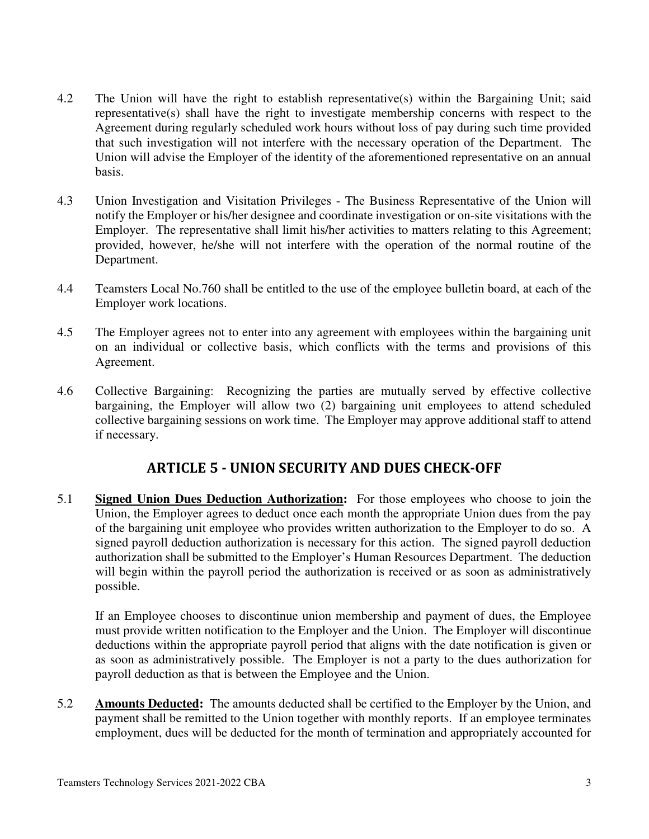- 4.2 The Union will have the right to establish representative(s) within the Bargaining Unit; said representative(s) shall have the right to investigate membership concerns with respect to the Agreement during regularly scheduled work hours without loss of pay during such time provided that such investigation will not interfere with the necessary operation of the Department. The Union will advise the Employer of the identity of the aforementioned representative on an annual basis.
- 4.3 Union Investigation and Visitation Privileges The Business Representative of the Union will notify the Employer or his/her designee and coordinate investigation or on-site visitations with the Employer. The representative shall limit his/her activities to matters relating to this Agreement; provided, however, he/she will not interfere with the operation of the normal routine of the Department.
- 4.4 Teamsters Local No.760 shall be entitled to the use of the employee bulletin board, at each of the Employer work locations.
- 4.5 The Employer agrees not to enter into any agreement with employees within the bargaining unit on an individual or collective basis, which conflicts with the terms and provisions of this Agreement.
- 4.6 Collective Bargaining: Recognizing the parties are mutually served by effective collective bargaining, the Employer will allow two (2) bargaining unit employees to attend scheduled collective bargaining sessions on work time. The Employer may approve additional staff to attend if necessary.

### **ARTICLE 5 - UNION SECURITY AND DUES CHECK-OFF**

5.1 **Signed Union Dues Deduction Authorization:** For those employees who choose to join the Union, the Employer agrees to deduct once each month the appropriate Union dues from the pay of the bargaining unit employee who provides written authorization to the Employer to do so. A signed payroll deduction authorization is necessary for this action. The signed payroll deduction authorization shall be submitted to the Employer's Human Resources Department. The deduction will begin within the payroll period the authorization is received or as soon as administratively possible.

If an Employee chooses to discontinue union membership and payment of dues, the Employee must provide written notification to the Employer and the Union. The Employer will discontinue deductions within the appropriate payroll period that aligns with the date notification is given or as soon as administratively possible. The Employer is not a party to the dues authorization for payroll deduction as that is between the Employee and the Union.

5.2 **Amounts Deducted:** The amounts deducted shall be certified to the Employer by the Union, and payment shall be remitted to the Union together with monthly reports. If an employee terminates employment, dues will be deducted for the month of termination and appropriately accounted for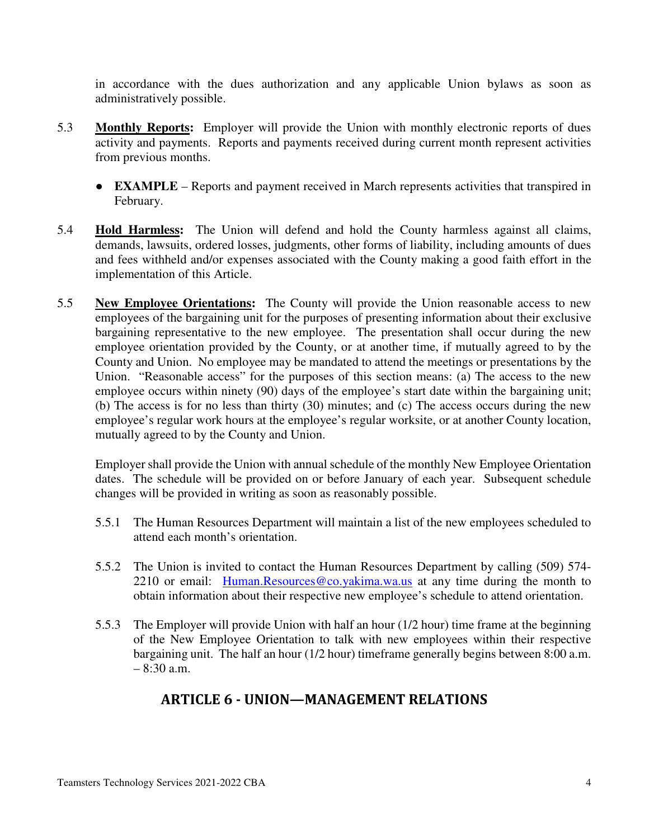in accordance with the dues authorization and any applicable Union bylaws as soon as administratively possible.

- 5.3 **Monthly Reports:** Employer will provide the Union with monthly electronic reports of dues activity and payments. Reports and payments received during current month represent activities from previous months.
	- **EXAMPLE** Reports and payment received in March represents activities that transpired in February.
- 5.4 **Hold Harmless:** The Union will defend and hold the County harmless against all claims, demands, lawsuits, ordered losses, judgments, other forms of liability, including amounts of dues and fees withheld and/or expenses associated with the County making a good faith effort in the implementation of this Article.
- 5.5 **New Employee Orientations:** The County will provide the Union reasonable access to new employees of the bargaining unit for the purposes of presenting information about their exclusive bargaining representative to the new employee. The presentation shall occur during the new employee orientation provided by the County, or at another time, if mutually agreed to by the County and Union. No employee may be mandated to attend the meetings or presentations by the Union. "Reasonable access" for the purposes of this section means: (a) The access to the new employee occurs within ninety (90) days of the employee's start date within the bargaining unit; (b) The access is for no less than thirty (30) minutes; and (c) The access occurs during the new employee's regular work hours at the employee's regular worksite, or at another County location, mutually agreed to by the County and Union.

Employer shall provide the Union with annual schedule of the monthly New Employee Orientation dates. The schedule will be provided on or before January of each year. Subsequent schedule changes will be provided in writing as soon as reasonably possible.

- 5.5.1 The Human Resources Department will maintain a list of the new employees scheduled to attend each month's orientation.
- 5.5.2 The Union is invited to contact the Human Resources Department by calling (509) 574- 2210 or email: Human.Resources@co.yakima.wa.us at any time during the month to obtain information about their respective new employee's schedule to attend orientation.
- 5.5.3 The Employer will provide Union with half an hour (1/2 hour) time frame at the beginning of the New Employee Orientation to talk with new employees within their respective bargaining unit. The half an hour (1/2 hour) timeframe generally begins between 8:00 a.m.  $-8:30$  a.m.

# **ARTICLE 6 - UNION—MANAGEMENT RELATIONS**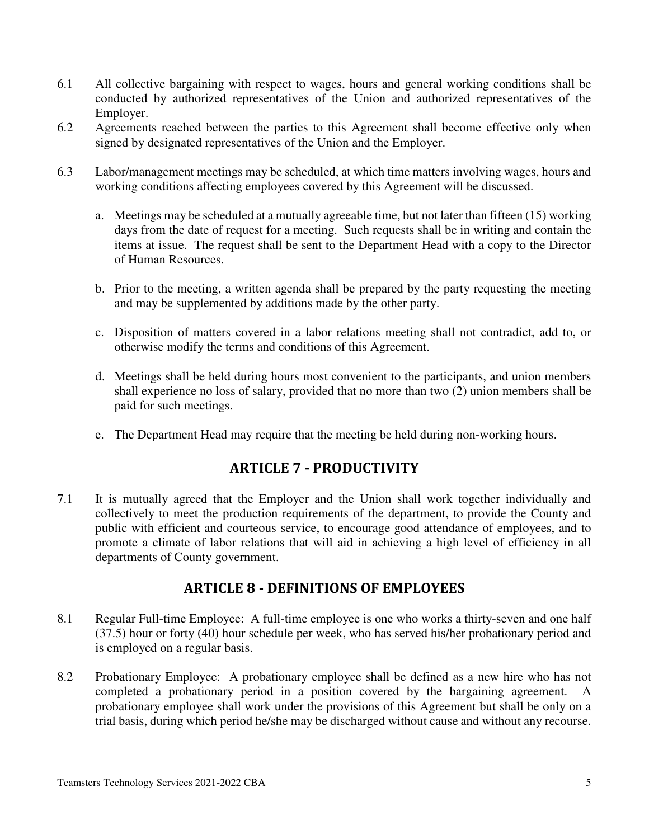- 6.1 All collective bargaining with respect to wages, hours and general working conditions shall be conducted by authorized representatives of the Union and authorized representatives of the Employer.
- 6.2 Agreements reached between the parties to this Agreement shall become effective only when signed by designated representatives of the Union and the Employer.
- 6.3 Labor/management meetings may be scheduled, at which time matters involving wages, hours and working conditions affecting employees covered by this Agreement will be discussed.
	- a. Meetings may be scheduled at a mutually agreeable time, but not later than fifteen (15) working days from the date of request for a meeting. Such requests shall be in writing and contain the items at issue. The request shall be sent to the Department Head with a copy to the Director of Human Resources.
	- b. Prior to the meeting, a written agenda shall be prepared by the party requesting the meeting and may be supplemented by additions made by the other party.
	- c. Disposition of matters covered in a labor relations meeting shall not contradict, add to, or otherwise modify the terms and conditions of this Agreement.
	- d. Meetings shall be held during hours most convenient to the participants, and union members shall experience no loss of salary, provided that no more than two (2) union members shall be paid for such meetings.
	- e. The Department Head may require that the meeting be held during non-working hours.

### **ARTICLE 7 - PRODUCTIVITY**

7.1 It is mutually agreed that the Employer and the Union shall work together individually and collectively to meet the production requirements of the department, to provide the County and public with efficient and courteous service, to encourage good attendance of employees, and to promote a climate of labor relations that will aid in achieving a high level of efficiency in all departments of County government.

### **ARTICLE 8 - DEFINITIONS OF EMPLOYEES**

- 8.1 Regular Full-time Employee: A full-time employee is one who works a thirty-seven and one half (37.5) hour or forty (40) hour schedule per week, who has served his/her probationary period and is employed on a regular basis.
- 8.2 Probationary Employee: A probationary employee shall be defined as a new hire who has not completed a probationary period in a position covered by the bargaining agreement. A probationary employee shall work under the provisions of this Agreement but shall be only on a trial basis, during which period he/she may be discharged without cause and without any recourse.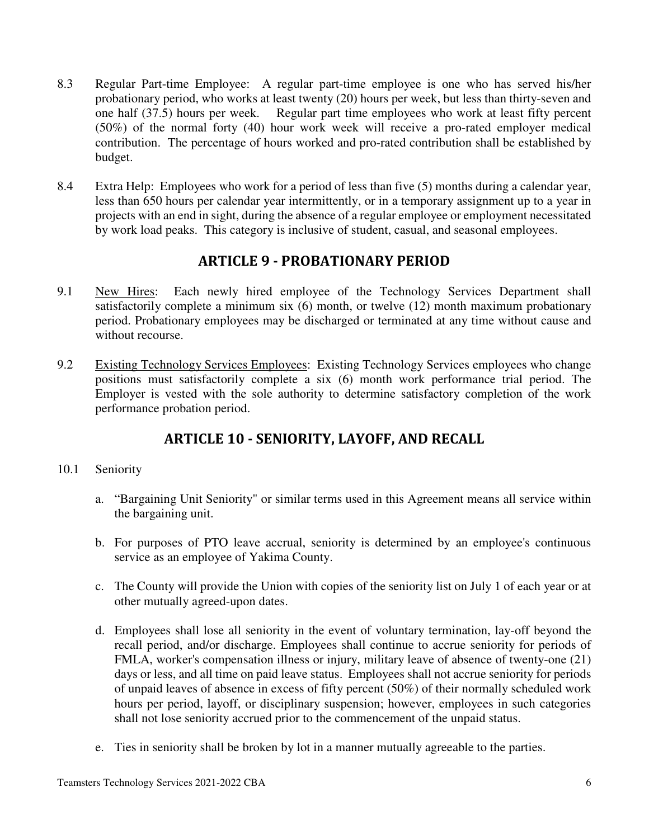- 8.3 Regular Part-time Employee: A regular part-time employee is one who has served his/her probationary period, who works at least twenty (20) hours per week, but less than thirty-seven and one half (37.5) hours per week. Regular part time employees who work at least fifty percent (50%) of the normal forty (40) hour work week will receive a pro-rated employer medical contribution. The percentage of hours worked and pro-rated contribution shall be established by budget.
- 8.4 Extra Help: Employees who work for a period of less than five (5) months during a calendar year, less than 650 hours per calendar year intermittently, or in a temporary assignment up to a year in projects with an end in sight, during the absence of a regular employee or employment necessitated by work load peaks. This category is inclusive of student, casual, and seasonal employees.

### **ARTICLE 9 - PROBATIONARY PERIOD**

- 9.1 New Hires: Each newly hired employee of the Technology Services Department shall satisfactorily complete a minimum six (6) month, or twelve (12) month maximum probationary period. Probationary employees may be discharged or terminated at any time without cause and without recourse.
- 9.2 Existing Technology Services Employees: Existing Technology Services employees who change positions must satisfactorily complete a six (6) month work performance trial period. The Employer is vested with the sole authority to determine satisfactory completion of the work performance probation period.

# **ARTICLE 10 - SENIORITY, LAYOFF, AND RECALL**

#### 10.1 Seniority

- a. "Bargaining Unit Seniority" or similar terms used in this Agreement means all service within the bargaining unit.
- b. For purposes of PTO leave accrual, seniority is determined by an employee's continuous service as an employee of Yakima County.
- c. The County will provide the Union with copies of the seniority list on July 1 of each year or at other mutually agreed-upon dates.
- d. Employees shall lose all seniority in the event of voluntary termination, lay-off beyond the recall period, and/or discharge. Employees shall continue to accrue seniority for periods of FMLA, worker's compensation illness or injury, military leave of absence of twenty-one (21) days or less, and all time on paid leave status. Employees shall not accrue seniority for periods of unpaid leaves of absence in excess of fifty percent (50%) of their normally scheduled work hours per period, layoff, or disciplinary suspension; however, employees in such categories shall not lose seniority accrued prior to the commencement of the unpaid status.
- e. Ties in seniority shall be broken by lot in a manner mutually agreeable to the parties.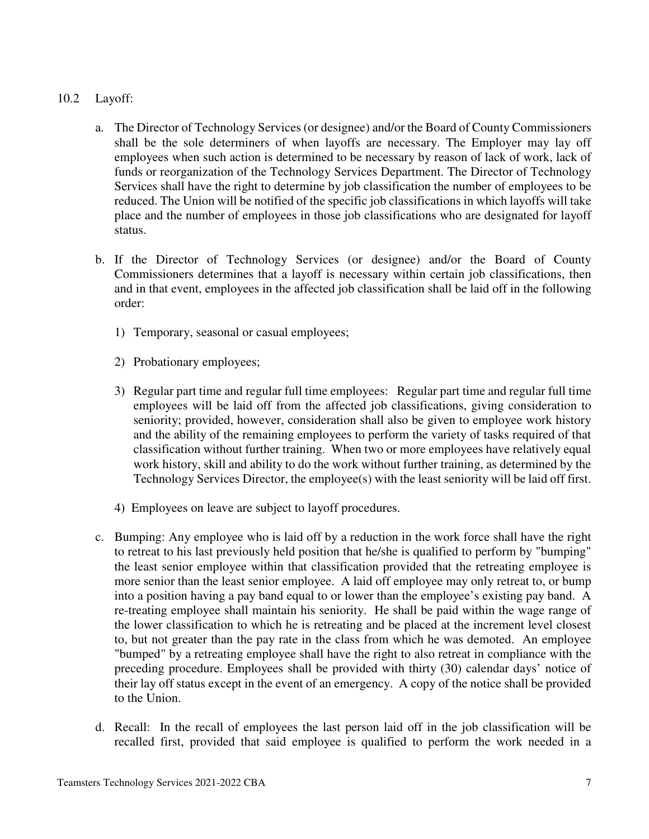#### 10.2 Layoff:

- a. The Director of Technology Services (or designee) and/or the Board of County Commissioners shall be the sole determiners of when layoffs are necessary. The Employer may lay off employees when such action is determined to be necessary by reason of lack of work, lack of funds or reorganization of the Technology Services Department. The Director of Technology Services shall have the right to determine by job classification the number of employees to be reduced. The Union will be notified of the specific job classifications in which layoffs will take place and the number of employees in those job classifications who are designated for layoff status.
- b. If the Director of Technology Services (or designee) and/or the Board of County Commissioners determines that a layoff is necessary within certain job classifications, then and in that event, employees in the affected job classification shall be laid off in the following order:
	- 1) Temporary, seasonal or casual employees;
	- 2) Probationary employees;
	- 3) Regular part time and regular full time employees: Regular part time and regular full time employees will be laid off from the affected job classifications, giving consideration to seniority; provided, however, consideration shall also be given to employee work history and the ability of the remaining employees to perform the variety of tasks required of that classification without further training. When two or more employees have relatively equal work history, skill and ability to do the work without further training, as determined by the Technology Services Director, the employee(s) with the least seniority will be laid off first.
	- 4) Employees on leave are subject to layoff procedures.
- c. Bumping: Any employee who is laid off by a reduction in the work force shall have the right to retreat to his last previously held position that he/she is qualified to perform by "bumping" the least senior employee within that classification provided that the retreating employee is more senior than the least senior employee. A laid off employee may only retreat to, or bump into a position having a pay band equal to or lower than the employee's existing pay band. A re-treating employee shall maintain his seniority. He shall be paid within the wage range of the lower classification to which he is retreating and be placed at the increment level closest to, but not greater than the pay rate in the class from which he was demoted. An employee "bumped" by a retreating employee shall have the right to also retreat in compliance with the preceding procedure. Employees shall be provided with thirty (30) calendar days' notice of their lay off status except in the event of an emergency. A copy of the notice shall be provided to the Union.
- d. Recall: In the recall of employees the last person laid off in the job classification will be recalled first, provided that said employee is qualified to perform the work needed in a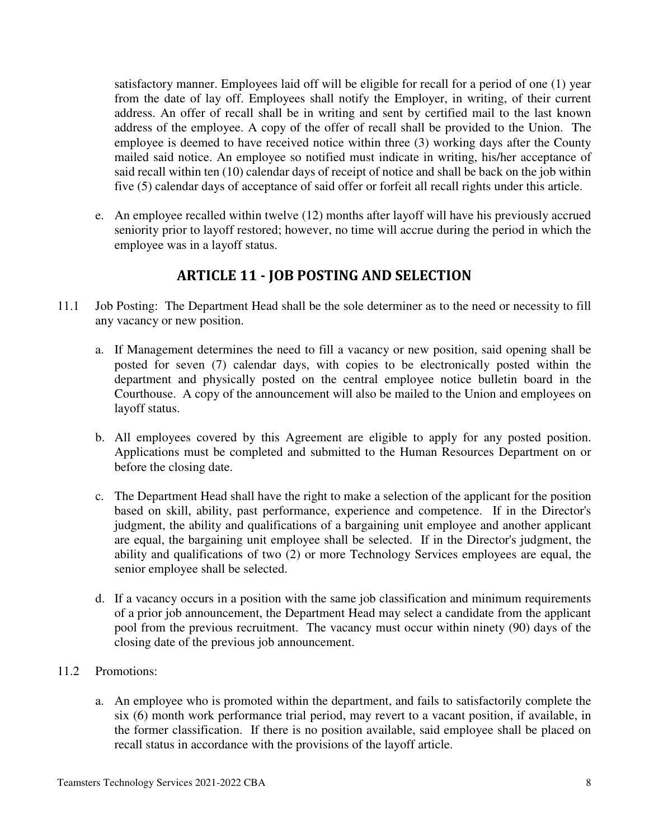satisfactory manner. Employees laid off will be eligible for recall for a period of one (1) year from the date of lay off. Employees shall notify the Employer, in writing, of their current address. An offer of recall shall be in writing and sent by certified mail to the last known address of the employee. A copy of the offer of recall shall be provided to the Union. The employee is deemed to have received notice within three (3) working days after the County mailed said notice. An employee so notified must indicate in writing, his/her acceptance of said recall within ten (10) calendar days of receipt of notice and shall be back on the job within five (5) calendar days of acceptance of said offer or forfeit all recall rights under this article.

e. An employee recalled within twelve (12) months after layoff will have his previously accrued seniority prior to layoff restored; however, no time will accrue during the period in which the employee was in a layoff status.

# **ARTICLE 11 - JOB POSTING AND SELECTION**

- 11.1 Job Posting: The Department Head shall be the sole determiner as to the need or necessity to fill any vacancy or new position.
	- a. If Management determines the need to fill a vacancy or new position, said opening shall be posted for seven (7) calendar days, with copies to be electronically posted within the department and physically posted on the central employee notice bulletin board in the Courthouse. A copy of the announcement will also be mailed to the Union and employees on layoff status.
	- b. All employees covered by this Agreement are eligible to apply for any posted position. Applications must be completed and submitted to the Human Resources Department on or before the closing date.
	- c. The Department Head shall have the right to make a selection of the applicant for the position based on skill, ability, past performance, experience and competence. If in the Director's judgment, the ability and qualifications of a bargaining unit employee and another applicant are equal, the bargaining unit employee shall be selected. If in the Director's judgment, the ability and qualifications of two (2) or more Technology Services employees are equal, the senior employee shall be selected.
	- d. If a vacancy occurs in a position with the same job classification and minimum requirements of a prior job announcement, the Department Head may select a candidate from the applicant pool from the previous recruitment. The vacancy must occur within ninety (90) days of the closing date of the previous job announcement.
- 11.2 Promotions:
	- a. An employee who is promoted within the department, and fails to satisfactorily complete the six (6) month work performance trial period, may revert to a vacant position, if available, in the former classification. If there is no position available, said employee shall be placed on recall status in accordance with the provisions of the layoff article.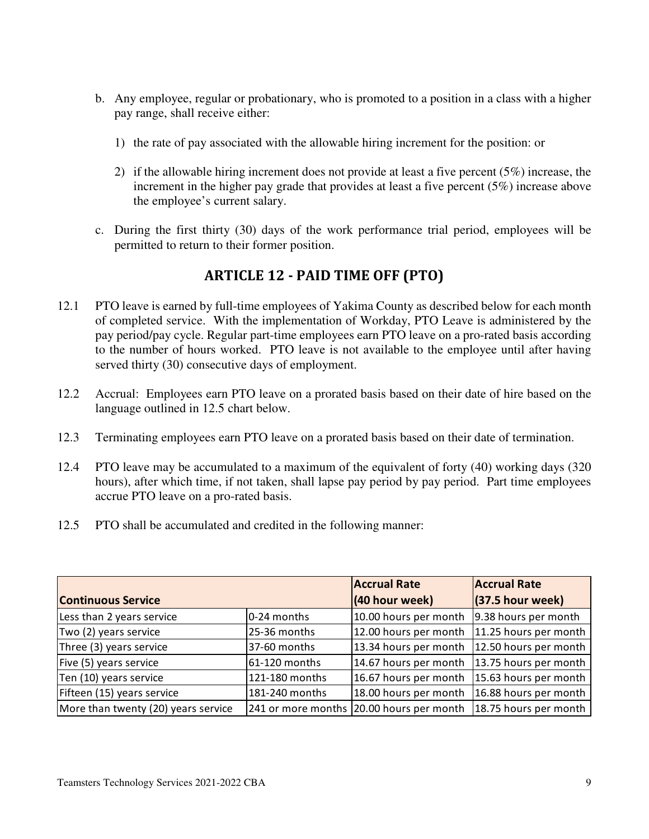- b. Any employee, regular or probationary, who is promoted to a position in a class with a higher pay range, shall receive either:
	- 1) the rate of pay associated with the allowable hiring increment for the position: or
	- 2) if the allowable hiring increment does not provide at least a five percent (5%) increase, the increment in the higher pay grade that provides at least a five percent (5%) increase above the employee's current salary.
- c. During the first thirty (30) days of the work performance trial period, employees will be permitted to return to their former position.

# **ARTICLE 12 - PAID TIME OFF (PTO)**

- 12.1 PTO leave is earned by full-time employees of Yakima County as described below for each month of completed service. With the implementation of Workday, PTO Leave is administered by the pay period/pay cycle. Regular part-time employees earn PTO leave on a pro-rated basis according to the number of hours worked. PTO leave is not available to the employee until after having served thirty (30) consecutive days of employment.
- 12.2 Accrual: Employees earn PTO leave on a prorated basis based on their date of hire based on the language outlined in 12.5 chart below.
- 12.3 Terminating employees earn PTO leave on a prorated basis based on their date of termination.
- 12.4 PTO leave may be accumulated to a maximum of the equivalent of forty (40) working days (320 hours), after which time, if not taken, shall lapse pay period by pay period. Part time employees accrue PTO leave on a pro-rated basis.
- 12.5 PTO shall be accumulated and credited in the following manner:

|                                     |                | <b>Accrual Rate</b>                      | <b>Accrual Rate</b>   |
|-------------------------------------|----------------|------------------------------------------|-----------------------|
| <b>Continuous Service</b>           |                | $(40$ hour week)                         | $(37.5$ hour week)    |
| Less than 2 years service           | 0-24 months    | 10.00 hours per month                    | 9.38 hours per month  |
| Two (2) years service               | 25-36 months   | 12.00 hours per month                    | 11.25 hours per month |
| Three (3) years service             | 37-60 months   | 13.34 hours per month                    | 12.50 hours per month |
| Five (5) years service              | 61-120 months  | 14.67 hours per month                    | 13.75 hours per month |
| Ten (10) years service              | 121-180 months | 16.67 hours per month                    | 15.63 hours per month |
| Fifteen (15) years service          | 181-240 months | 18.00 hours per month                    | 16.88 hours per month |
| More than twenty (20) years service |                | 241 or more months 20.00 hours per month | 18.75 hours per month |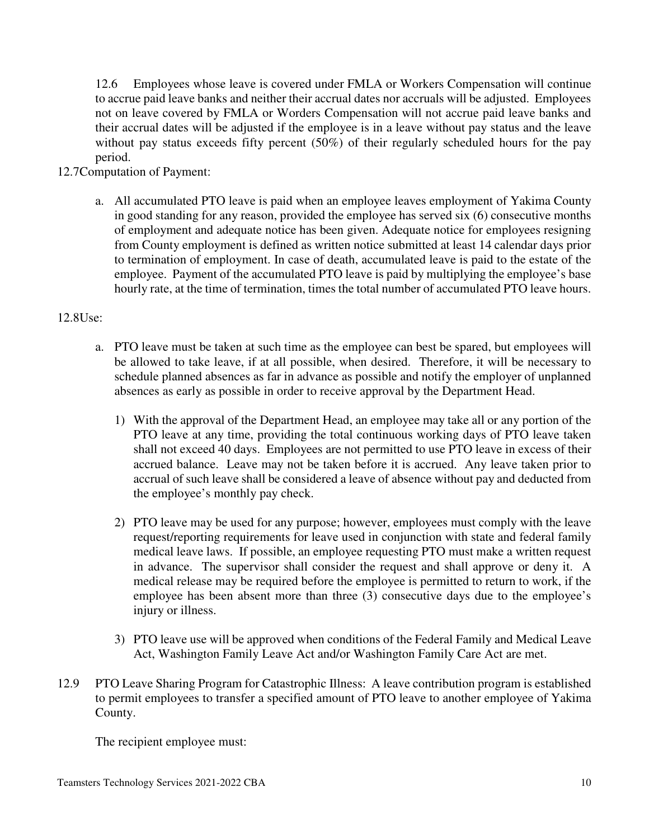12.6 Employees whose leave is covered under FMLA or Workers Compensation will continue to accrue paid leave banks and neither their accrual dates nor accruals will be adjusted. Employees not on leave covered by FMLA or Worders Compensation will not accrue paid leave banks and their accrual dates will be adjusted if the employee is in a leave without pay status and the leave without pay status exceeds fifty percent (50%) of their regularly scheduled hours for the pay period.

#### 12.7Computation of Payment:

a. All accumulated PTO leave is paid when an employee leaves employment of Yakima County in good standing for any reason, provided the employee has served six (6) consecutive months of employment and adequate notice has been given. Adequate notice for employees resigning from County employment is defined as written notice submitted at least 14 calendar days prior to termination of employment. In case of death, accumulated leave is paid to the estate of the employee. Payment of the accumulated PTO leave is paid by multiplying the employee's base hourly rate, at the time of termination, times the total number of accumulated PTO leave hours.

#### 12.8Use:

- a. PTO leave must be taken at such time as the employee can best be spared, but employees will be allowed to take leave, if at all possible, when desired. Therefore, it will be necessary to schedule planned absences as far in advance as possible and notify the employer of unplanned absences as early as possible in order to receive approval by the Department Head.
	- 1) With the approval of the Department Head, an employee may take all or any portion of the PTO leave at any time, providing the total continuous working days of PTO leave taken shall not exceed 40 days. Employees are not permitted to use PTO leave in excess of their accrued balance. Leave may not be taken before it is accrued. Any leave taken prior to accrual of such leave shall be considered a leave of absence without pay and deducted from the employee's monthly pay check.
	- 2) PTO leave may be used for any purpose; however, employees must comply with the leave request/reporting requirements for leave used in conjunction with state and federal family medical leave laws. If possible, an employee requesting PTO must make a written request in advance. The supervisor shall consider the request and shall approve or deny it. A medical release may be required before the employee is permitted to return to work, if the employee has been absent more than three (3) consecutive days due to the employee's injury or illness.
	- 3) PTO leave use will be approved when conditions of the Federal Family and Medical Leave Act, Washington Family Leave Act and/or Washington Family Care Act are met.
- 12.9 PTO Leave Sharing Program for Catastrophic Illness: A leave contribution program is established to permit employees to transfer a specified amount of PTO leave to another employee of Yakima County.

The recipient employee must: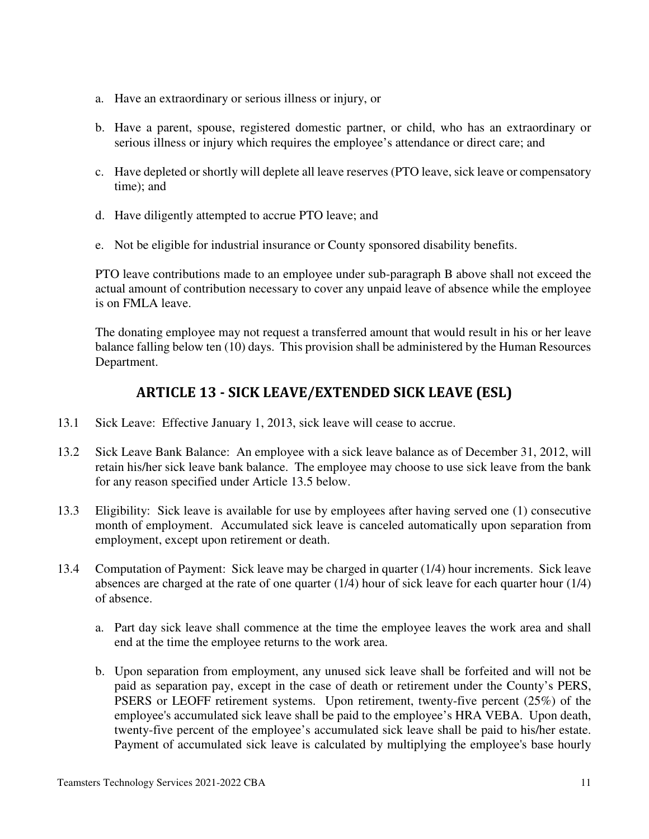- a. Have an extraordinary or serious illness or injury, or
- b. Have a parent, spouse, registered domestic partner, or child, who has an extraordinary or serious illness or injury which requires the employee's attendance or direct care; and
- c. Have depleted or shortly will deplete all leave reserves (PTO leave, sick leave or compensatory time); and
- d. Have diligently attempted to accrue PTO leave; and
- e. Not be eligible for industrial insurance or County sponsored disability benefits.

 PTO leave contributions made to an employee under sub-paragraph B above shall not exceed the actual amount of contribution necessary to cover any unpaid leave of absence while the employee is on FMLA leave.

 The donating employee may not request a transferred amount that would result in his or her leave balance falling below ten (10) days. This provision shall be administered by the Human Resources Department.

# **ARTICLE 13 - SICK LEAVE/EXTENDED SICK LEAVE (ESL)**

- 13.1 Sick Leave: Effective January 1, 2013, sick leave will cease to accrue.
- 13.2 Sick Leave Bank Balance: An employee with a sick leave balance as of December 31, 2012, will retain his/her sick leave bank balance. The employee may choose to use sick leave from the bank for any reason specified under Article 13.5 below.
- 13.3 Eligibility: Sick leave is available for use by employees after having served one (1) consecutive month of employment. Accumulated sick leave is canceled automatically upon separation from employment, except upon retirement or death.
- 13.4 Computation of Payment: Sick leave may be charged in quarter (1/4) hour increments. Sick leave absences are charged at the rate of one quarter (1/4) hour of sick leave for each quarter hour (1/4) of absence.
	- a. Part day sick leave shall commence at the time the employee leaves the work area and shall end at the time the employee returns to the work area.
	- b. Upon separation from employment, any unused sick leave shall be forfeited and will not be paid as separation pay, except in the case of death or retirement under the County's PERS, PSERS or LEOFF retirement systems. Upon retirement, twenty-five percent (25%) of the employee's accumulated sick leave shall be paid to the employee's HRA VEBA. Upon death, twenty-five percent of the employee's accumulated sick leave shall be paid to his/her estate. Payment of accumulated sick leave is calculated by multiplying the employee's base hourly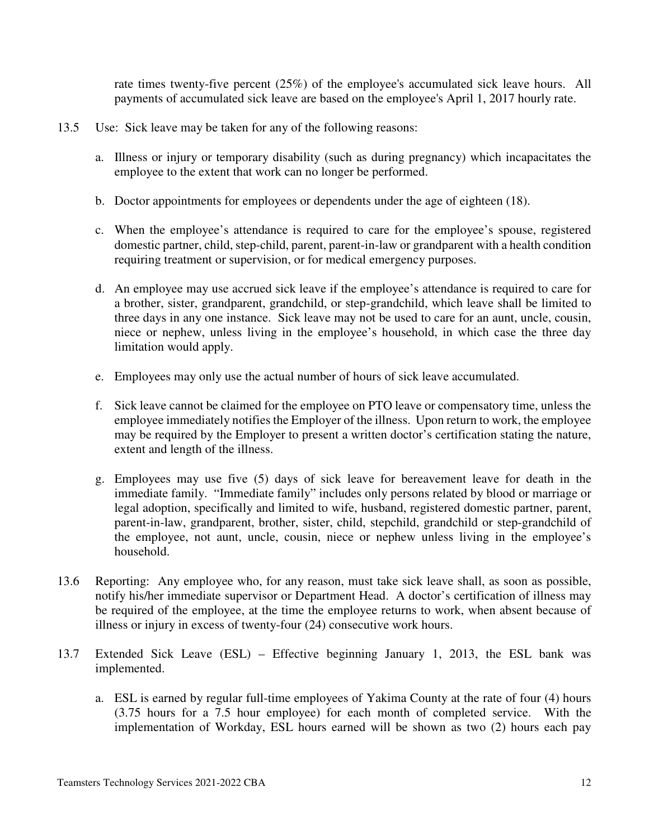rate times twenty-five percent (25%) of the employee's accumulated sick leave hours. All payments of accumulated sick leave are based on the employee's April 1, 2017 hourly rate.

- 13.5 Use: Sick leave may be taken for any of the following reasons:
	- a. Illness or injury or temporary disability (such as during pregnancy) which incapacitates the employee to the extent that work can no longer be performed.
	- b. Doctor appointments for employees or dependents under the age of eighteen (18).
	- c. When the employee's attendance is required to care for the employee's spouse, registered domestic partner, child, step-child, parent, parent-in-law or grandparent with a health condition requiring treatment or supervision, or for medical emergency purposes.
	- d. An employee may use accrued sick leave if the employee's attendance is required to care for a brother, sister, grandparent, grandchild, or step-grandchild, which leave shall be limited to three days in any one instance. Sick leave may not be used to care for an aunt, uncle, cousin, niece or nephew, unless living in the employee's household, in which case the three day limitation would apply.
	- e. Employees may only use the actual number of hours of sick leave accumulated.
	- f. Sick leave cannot be claimed for the employee on PTO leave or compensatory time, unless the employee immediately notifies the Employer of the illness. Upon return to work, the employee may be required by the Employer to present a written doctor's certification stating the nature, extent and length of the illness.
	- g. Employees may use five (5) days of sick leave for bereavement leave for death in the immediate family. "Immediate family" includes only persons related by blood or marriage or legal adoption, specifically and limited to wife, husband, registered domestic partner, parent, parent-in-law, grandparent, brother, sister, child, stepchild, grandchild or step-grandchild of the employee, not aunt, uncle, cousin, niece or nephew unless living in the employee's household.
- 13.6 Reporting: Any employee who, for any reason, must take sick leave shall, as soon as possible, notify his/her immediate supervisor or Department Head. A doctor's certification of illness may be required of the employee, at the time the employee returns to work, when absent because of illness or injury in excess of twenty-four (24) consecutive work hours.
- 13.7 Extended Sick Leave (ESL) Effective beginning January 1, 2013, the ESL bank was implemented.
	- a. ESL is earned by regular full-time employees of Yakima County at the rate of four (4) hours (3.75 hours for a 7.5 hour employee) for each month of completed service. With the implementation of Workday, ESL hours earned will be shown as two (2) hours each pay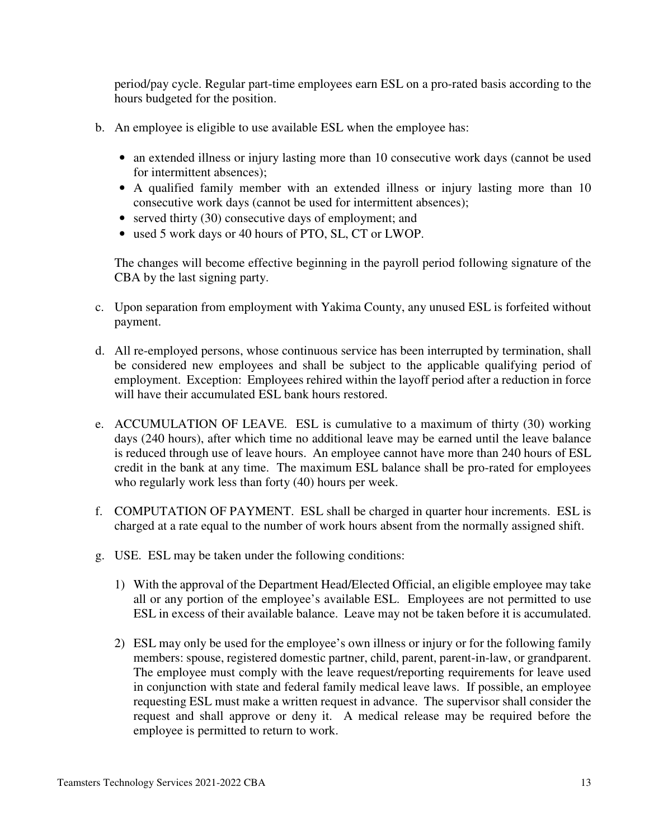period/pay cycle. Regular part-time employees earn ESL on a pro-rated basis according to the hours budgeted for the position.

- b. An employee is eligible to use available ESL when the employee has:
	- an extended illness or injury lasting more than 10 consecutive work days (cannot be used for intermittent absences);
	- A qualified family member with an extended illness or injury lasting more than 10 consecutive work days (cannot be used for intermittent absences);
	- served thirty (30) consecutive days of employment; and
	- used 5 work days or 40 hours of PTO, SL, CT or LWOP.

The changes will become effective beginning in the payroll period following signature of the CBA by the last signing party.

- c. Upon separation from employment with Yakima County, any unused ESL is forfeited without payment.
- d. All re-employed persons, whose continuous service has been interrupted by termination, shall be considered new employees and shall be subject to the applicable qualifying period of employment. Exception: Employees rehired within the layoff period after a reduction in force will have their accumulated ESL bank hours restored.
- e. ACCUMULATION OF LEAVE. ESL is cumulative to a maximum of thirty (30) working days (240 hours), after which time no additional leave may be earned until the leave balance is reduced through use of leave hours. An employee cannot have more than 240 hours of ESL credit in the bank at any time. The maximum ESL balance shall be pro-rated for employees who regularly work less than forty (40) hours per week.
- f. COMPUTATION OF PAYMENT. ESL shall be charged in quarter hour increments. ESL is charged at a rate equal to the number of work hours absent from the normally assigned shift.
- g. USE. ESL may be taken under the following conditions:
	- 1) With the approval of the Department Head/Elected Official, an eligible employee may take all or any portion of the employee's available ESL. Employees are not permitted to use ESL in excess of their available balance. Leave may not be taken before it is accumulated.
	- 2) ESL may only be used for the employee's own illness or injury or for the following family members: spouse, registered domestic partner, child, parent, parent-in-law, or grandparent. The employee must comply with the leave request/reporting requirements for leave used in conjunction with state and federal family medical leave laws. If possible, an employee requesting ESL must make a written request in advance. The supervisor shall consider the request and shall approve or deny it. A medical release may be required before the employee is permitted to return to work.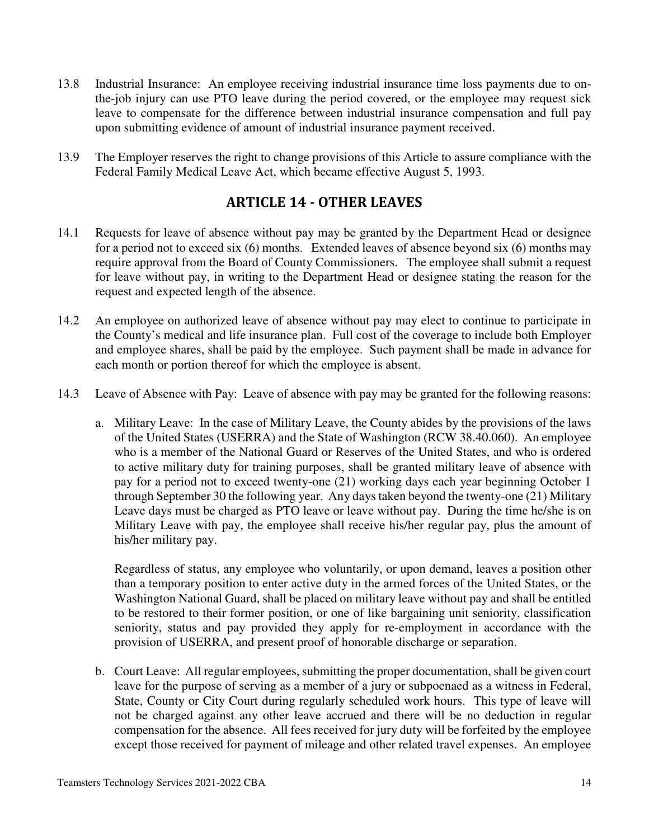- 13.8 Industrial Insurance: An employee receiving industrial insurance time loss payments due to onthe-job injury can use PTO leave during the period covered, or the employee may request sick leave to compensate for the difference between industrial insurance compensation and full pay upon submitting evidence of amount of industrial insurance payment received.
- 13.9 The Employer reserves the right to change provisions of this Article to assure compliance with the Federal Family Medical Leave Act, which became effective August 5, 1993.

## **ARTICLE 14 - OTHER LEAVES**

- 14.1 Requests for leave of absence without pay may be granted by the Department Head or designee for a period not to exceed six (6) months. Extended leaves of absence beyond six (6) months may require approval from the Board of County Commissioners. The employee shall submit a request for leave without pay, in writing to the Department Head or designee stating the reason for the request and expected length of the absence.
- 14.2 An employee on authorized leave of absence without pay may elect to continue to participate in the County's medical and life insurance plan. Full cost of the coverage to include both Employer and employee shares, shall be paid by the employee. Such payment shall be made in advance for each month or portion thereof for which the employee is absent.
- 14.3 Leave of Absence with Pay: Leave of absence with pay may be granted for the following reasons:
	- a. Military Leave: In the case of Military Leave, the County abides by the provisions of the laws of the United States (USERRA) and the State of Washington (RCW 38.40.060). An employee who is a member of the National Guard or Reserves of the United States, and who is ordered to active military duty for training purposes, shall be granted military leave of absence with pay for a period not to exceed twenty-one (21) working days each year beginning October 1 through September 30 the following year. Any days taken beyond the twenty-one (21) Military Leave days must be charged as PTO leave or leave without pay. During the time he/she is on Military Leave with pay, the employee shall receive his/her regular pay, plus the amount of his/her military pay.

Regardless of status, any employee who voluntarily, or upon demand, leaves a position other than a temporary position to enter active duty in the armed forces of the United States, or the Washington National Guard, shall be placed on military leave without pay and shall be entitled to be restored to their former position, or one of like bargaining unit seniority, classification seniority, status and pay provided they apply for re-employment in accordance with the provision of USERRA, and present proof of honorable discharge or separation.

b. Court Leave: All regular employees, submitting the proper documentation, shall be given court leave for the purpose of serving as a member of a jury or subpoenaed as a witness in Federal, State, County or City Court during regularly scheduled work hours. This type of leave will not be charged against any other leave accrued and there will be no deduction in regular compensation for the absence. All fees received for jury duty will be forfeited by the employee except those received for payment of mileage and other related travel expenses. An employee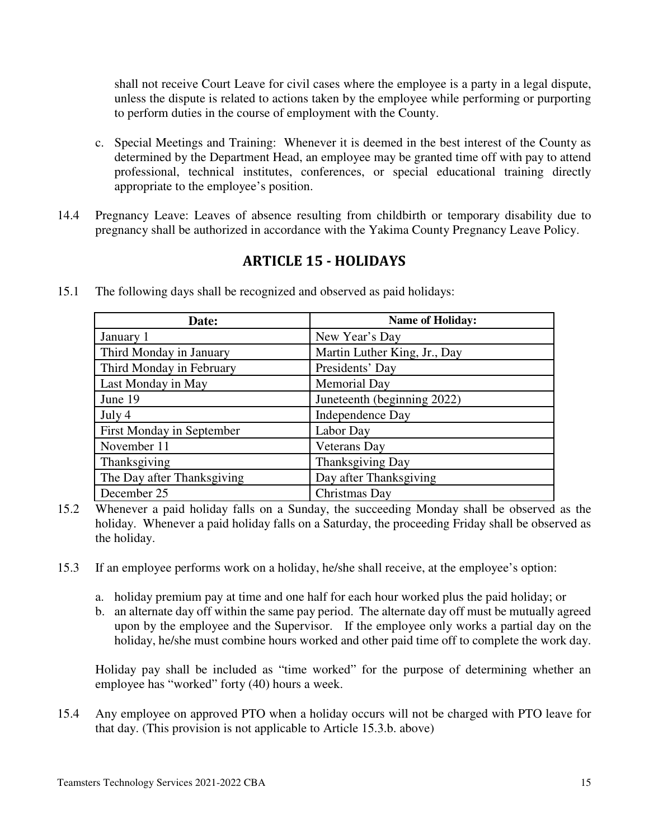shall not receive Court Leave for civil cases where the employee is a party in a legal dispute, unless the dispute is related to actions taken by the employee while performing or purporting to perform duties in the course of employment with the County.

- c. Special Meetings and Training: Whenever it is deemed in the best interest of the County as determined by the Department Head, an employee may be granted time off with pay to attend professional, technical institutes, conferences, or special educational training directly appropriate to the employee's position.
- 14.4 Pregnancy Leave: Leaves of absence resulting from childbirth or temporary disability due to pregnancy shall be authorized in accordance with the Yakima County Pregnancy Leave Policy.

# **ARTICLE 15 - HOLIDAYS**

15.1 The following days shall be recognized and observed as paid holidays:

| Date:                      | <b>Name of Holiday:</b>      |
|----------------------------|------------------------------|
| January 1                  | New Year's Day               |
| Third Monday in January    | Martin Luther King, Jr., Day |
| Third Monday in February   | Presidents' Day              |
| Last Monday in May         | <b>Memorial Day</b>          |
| June 19                    | Juneteenth (beginning 2022)  |
| July 4                     | Independence Day             |
| First Monday in September  | Labor Day                    |
| November 11                | <b>Veterans</b> Day          |
| Thanksgiving               | Thanksgiving Day             |
| The Day after Thanksgiving | Day after Thanksgiving       |
| December 25                | Christmas Day                |

15.2 Whenever a paid holiday falls on a Sunday, the succeeding Monday shall be observed as the holiday. Whenever a paid holiday falls on a Saturday, the proceeding Friday shall be observed as the holiday.

- 15.3 If an employee performs work on a holiday, he/she shall receive, at the employee's option:
	- a. holiday premium pay at time and one half for each hour worked plus the paid holiday; or
	- b. an alternate day off within the same pay period. The alternate day off must be mutually agreed upon by the employee and the Supervisor. If the employee only works a partial day on the holiday, he/she must combine hours worked and other paid time off to complete the work day.

Holiday pay shall be included as "time worked" for the purpose of determining whether an employee has "worked" forty (40) hours a week.

15.4 Any employee on approved PTO when a holiday occurs will not be charged with PTO leave for that day. (This provision is not applicable to Article 15.3.b. above)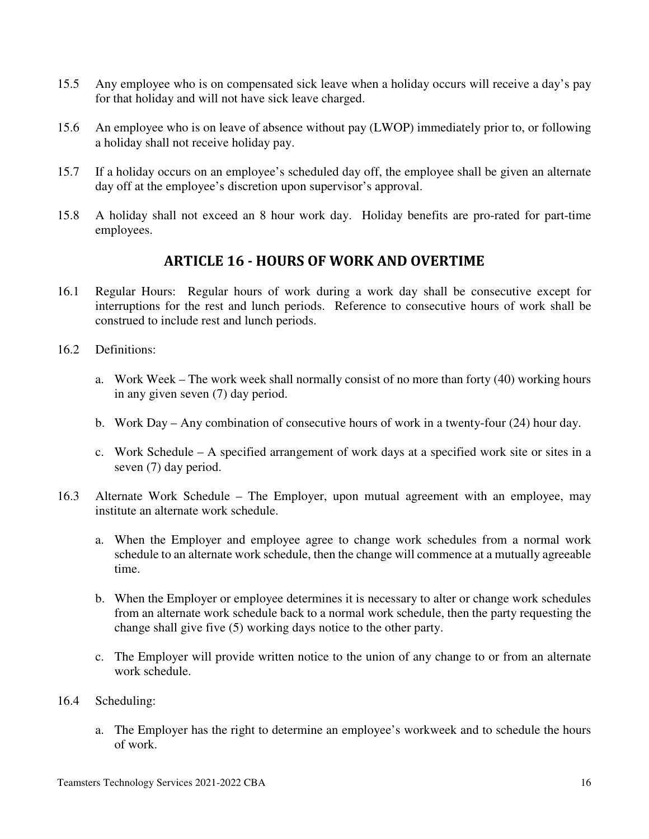- 15.5 Any employee who is on compensated sick leave when a holiday occurs will receive a day's pay for that holiday and will not have sick leave charged.
- 15.6 An employee who is on leave of absence without pay (LWOP) immediately prior to, or following a holiday shall not receive holiday pay.
- 15.7 If a holiday occurs on an employee's scheduled day off, the employee shall be given an alternate day off at the employee's discretion upon supervisor's approval.
- 15.8 A holiday shall not exceed an 8 hour work day. Holiday benefits are pro-rated for part-time employees.

### **ARTICLE 16 - HOURS OF WORK AND OVERTIME**

- 16.1 Regular Hours: Regular hours of work during a work day shall be consecutive except for interruptions for the rest and lunch periods. Reference to consecutive hours of work shall be construed to include rest and lunch periods.
- 16.2 Definitions:
	- a. Work Week The work week shall normally consist of no more than forty (40) working hours in any given seven (7) day period.
	- b. Work Day Any combination of consecutive hours of work in a twenty-four (24) hour day.
	- c. Work Schedule A specified arrangement of work days at a specified work site or sites in a seven (7) day period.
- 16.3 Alternate Work Schedule The Employer, upon mutual agreement with an employee, may institute an alternate work schedule.
	- a. When the Employer and employee agree to change work schedules from a normal work schedule to an alternate work schedule, then the change will commence at a mutually agreeable time.
	- b. When the Employer or employee determines it is necessary to alter or change work schedules from an alternate work schedule back to a normal work schedule, then the party requesting the change shall give five (5) working days notice to the other party.
	- c. The Employer will provide written notice to the union of any change to or from an alternate work schedule.
- 16.4 Scheduling:
	- a. The Employer has the right to determine an employee's workweek and to schedule the hours of work.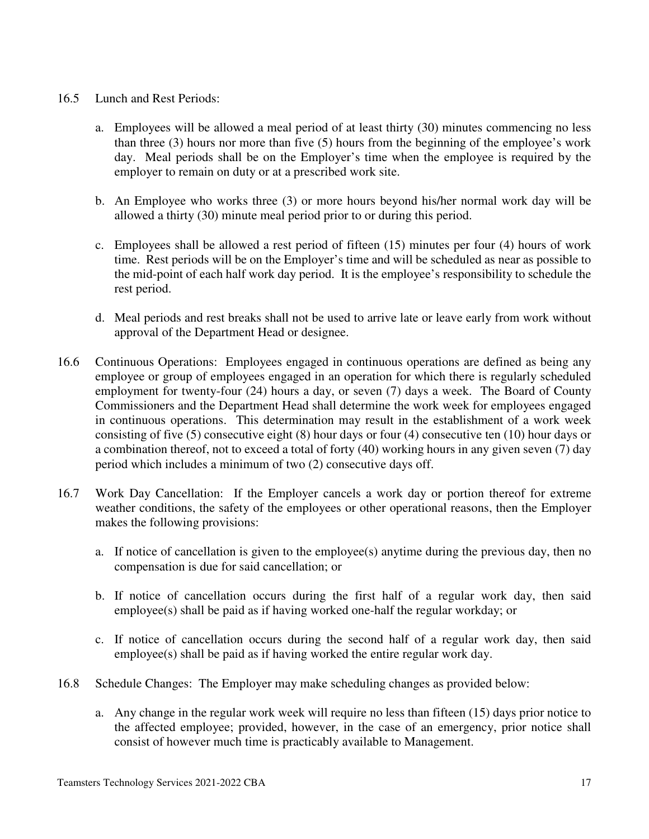- 16.5 Lunch and Rest Periods:
	- a. Employees will be allowed a meal period of at least thirty (30) minutes commencing no less than three (3) hours nor more than five (5) hours from the beginning of the employee's work day. Meal periods shall be on the Employer's time when the employee is required by the employer to remain on duty or at a prescribed work site.
	- b. An Employee who works three (3) or more hours beyond his/her normal work day will be allowed a thirty (30) minute meal period prior to or during this period.
	- c. Employees shall be allowed a rest period of fifteen (15) minutes per four (4) hours of work time. Rest periods will be on the Employer's time and will be scheduled as near as possible to the mid-point of each half work day period. It is the employee's responsibility to schedule the rest period.
	- d. Meal periods and rest breaks shall not be used to arrive late or leave early from work without approval of the Department Head or designee.
- 16.6 Continuous Operations: Employees engaged in continuous operations are defined as being any employee or group of employees engaged in an operation for which there is regularly scheduled employment for twenty-four (24) hours a day, or seven (7) days a week. The Board of County Commissioners and the Department Head shall determine the work week for employees engaged in continuous operations. This determination may result in the establishment of a work week consisting of five (5) consecutive eight (8) hour days or four (4) consecutive ten (10) hour days or a combination thereof, not to exceed a total of forty (40) working hours in any given seven (7) day period which includes a minimum of two (2) consecutive days off.
- 16.7 Work Day Cancellation: If the Employer cancels a work day or portion thereof for extreme weather conditions, the safety of the employees or other operational reasons, then the Employer makes the following provisions:
	- a. If notice of cancellation is given to the employee(s) anytime during the previous day, then no compensation is due for said cancellation; or
	- b. If notice of cancellation occurs during the first half of a regular work day, then said employee(s) shall be paid as if having worked one-half the regular workday; or
	- c. If notice of cancellation occurs during the second half of a regular work day, then said employee(s) shall be paid as if having worked the entire regular work day.
- 16.8 Schedule Changes: The Employer may make scheduling changes as provided below:
	- a. Any change in the regular work week will require no less than fifteen (15) days prior notice to the affected employee; provided, however, in the case of an emergency, prior notice shall consist of however much time is practicably available to Management.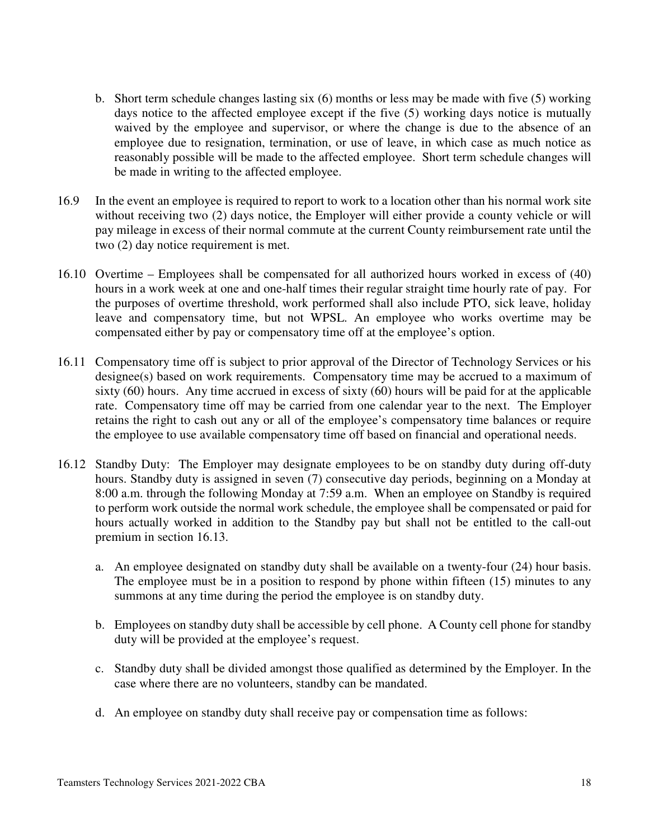- b. Short term schedule changes lasting six (6) months or less may be made with five (5) working days notice to the affected employee except if the five (5) working days notice is mutually waived by the employee and supervisor, or where the change is due to the absence of an employee due to resignation, termination, or use of leave, in which case as much notice as reasonably possible will be made to the affected employee. Short term schedule changes will be made in writing to the affected employee.
- 16.9 In the event an employee is required to report to work to a location other than his normal work site without receiving two (2) days notice, the Employer will either provide a county vehicle or will pay mileage in excess of their normal commute at the current County reimbursement rate until the two (2) day notice requirement is met.
- 16.10 Overtime Employees shall be compensated for all authorized hours worked in excess of (40) hours in a work week at one and one-half times their regular straight time hourly rate of pay. For the purposes of overtime threshold, work performed shall also include PTO, sick leave, holiday leave and compensatory time, but not WPSL. An employee who works overtime may be compensated either by pay or compensatory time off at the employee's option.
- 16.11 Compensatory time off is subject to prior approval of the Director of Technology Services or his designee(s) based on work requirements. Compensatory time may be accrued to a maximum of sixty (60) hours. Any time accrued in excess of sixty (60) hours will be paid for at the applicable rate. Compensatory time off may be carried from one calendar year to the next. The Employer retains the right to cash out any or all of the employee's compensatory time balances or require the employee to use available compensatory time off based on financial and operational needs.
- 16.12 Standby Duty: The Employer may designate employees to be on standby duty during off-duty hours. Standby duty is assigned in seven (7) consecutive day periods, beginning on a Monday at 8:00 a.m. through the following Monday at 7:59 a.m. When an employee on Standby is required to perform work outside the normal work schedule, the employee shall be compensated or paid for hours actually worked in addition to the Standby pay but shall not be entitled to the call-out premium in section 16.13.
	- a. An employee designated on standby duty shall be available on a twenty-four (24) hour basis. The employee must be in a position to respond by phone within fifteen (15) minutes to any summons at any time during the period the employee is on standby duty.
	- b. Employees on standby duty shall be accessible by cell phone. A County cell phone for standby duty will be provided at the employee's request.
	- c. Standby duty shall be divided amongst those qualified as determined by the Employer. In the case where there are no volunteers, standby can be mandated.
	- d. An employee on standby duty shall receive pay or compensation time as follows: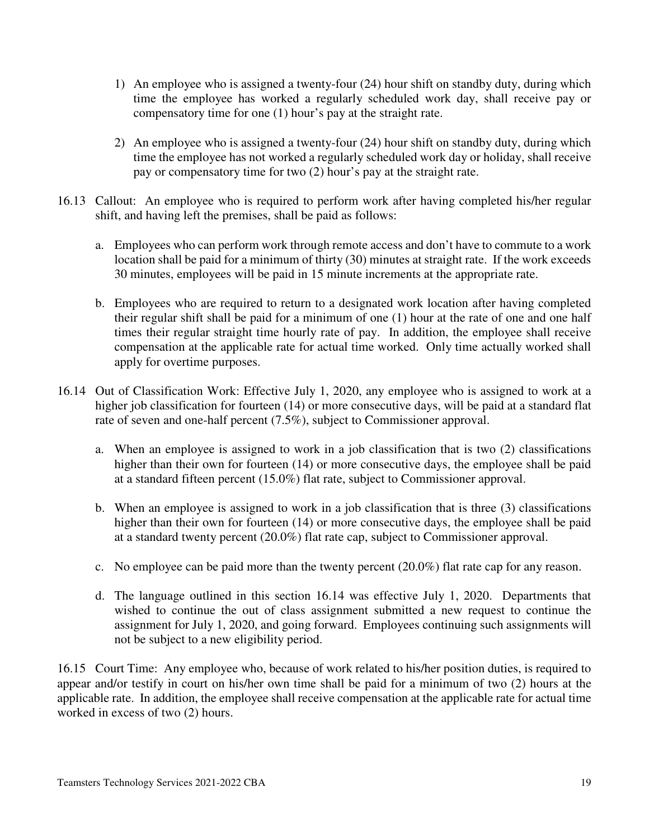- 1) An employee who is assigned a twenty-four (24) hour shift on standby duty, during which time the employee has worked a regularly scheduled work day, shall receive pay or compensatory time for one (1) hour's pay at the straight rate.
- 2) An employee who is assigned a twenty-four (24) hour shift on standby duty, during which time the employee has not worked a regularly scheduled work day or holiday, shall receive pay or compensatory time for two (2) hour's pay at the straight rate.
- 16.13 Callout: An employee who is required to perform work after having completed his/her regular shift, and having left the premises, shall be paid as follows:
	- a. Employees who can perform work through remote access and don't have to commute to a work location shall be paid for a minimum of thirty (30) minutes at straight rate. If the work exceeds 30 minutes, employees will be paid in 15 minute increments at the appropriate rate.
	- b. Employees who are required to return to a designated work location after having completed their regular shift shall be paid for a minimum of one (1) hour at the rate of one and one half times their regular straight time hourly rate of pay. In addition, the employee shall receive compensation at the applicable rate for actual time worked. Only time actually worked shall apply for overtime purposes.
- 16.14 Out of Classification Work: Effective July 1, 2020, any employee who is assigned to work at a higher job classification for fourteen (14) or more consecutive days, will be paid at a standard flat rate of seven and one-half percent (7.5%), subject to Commissioner approval.
	- a. When an employee is assigned to work in a job classification that is two (2) classifications higher than their own for fourteen (14) or more consecutive days, the employee shall be paid at a standard fifteen percent (15.0%) flat rate, subject to Commissioner approval.
	- b. When an employee is assigned to work in a job classification that is three (3) classifications higher than their own for fourteen (14) or more consecutive days, the employee shall be paid at a standard twenty percent (20.0%) flat rate cap, subject to Commissioner approval.
	- c. No employee can be paid more than the twenty percent (20.0%) flat rate cap for any reason.
	- d. The language outlined in this section 16.14 was effective July 1, 2020. Departments that wished to continue the out of class assignment submitted a new request to continue the assignment for July 1, 2020, and going forward. Employees continuing such assignments will not be subject to a new eligibility period.

16.15 Court Time: Any employee who, because of work related to his/her position duties, is required to appear and/or testify in court on his/her own time shall be paid for a minimum of two (2) hours at the applicable rate. In addition, the employee shall receive compensation at the applicable rate for actual time worked in excess of two (2) hours.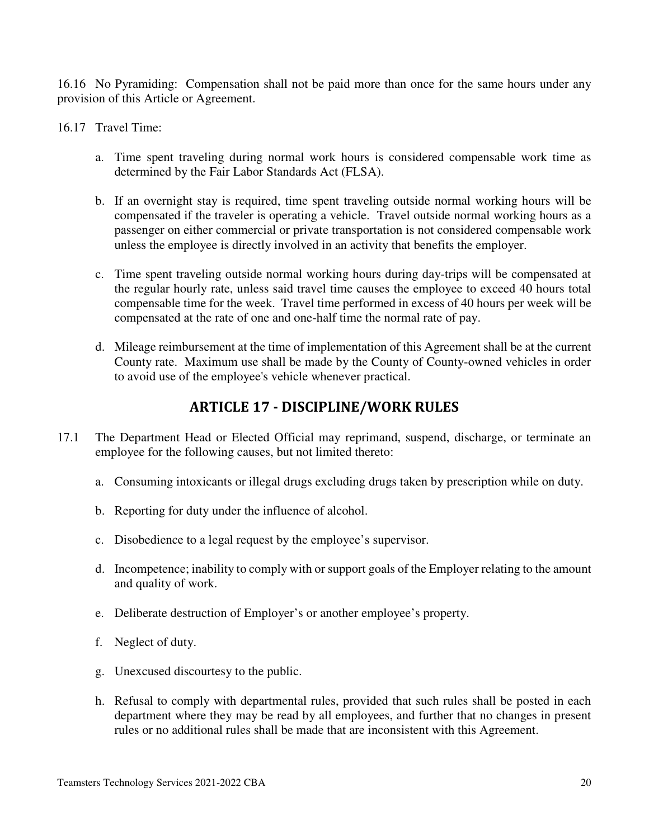16.16 No Pyramiding: Compensation shall not be paid more than once for the same hours under any provision of this Article or Agreement.

16.17 Travel Time:

- a. Time spent traveling during normal work hours is considered compensable work time as determined by the Fair Labor Standards Act (FLSA).
- b. If an overnight stay is required, time spent traveling outside normal working hours will be compensated if the traveler is operating a vehicle. Travel outside normal working hours as a passenger on either commercial or private transportation is not considered compensable work unless the employee is directly involved in an activity that benefits the employer.
- c. Time spent traveling outside normal working hours during day-trips will be compensated at the regular hourly rate, unless said travel time causes the employee to exceed 40 hours total compensable time for the week. Travel time performed in excess of 40 hours per week will be compensated at the rate of one and one-half time the normal rate of pay.
- d. Mileage reimbursement at the time of implementation of this Agreement shall be at the current County rate. Maximum use shall be made by the County of County-owned vehicles in order to avoid use of the employee's vehicle whenever practical.

### **ARTICLE 17 - DISCIPLINE/WORK RULES**

- 17.1 The Department Head or Elected Official may reprimand, suspend, discharge, or terminate an employee for the following causes, but not limited thereto:
	- a. Consuming intoxicants or illegal drugs excluding drugs taken by prescription while on duty.
	- b. Reporting for duty under the influence of alcohol.
	- c. Disobedience to a legal request by the employee's supervisor.
	- d. Incompetence; inability to comply with or support goals of the Employer relating to the amount and quality of work.
	- e. Deliberate destruction of Employer's or another employee's property.
	- f. Neglect of duty.
	- g. Unexcused discourtesy to the public.
	- h. Refusal to comply with departmental rules, provided that such rules shall be posted in each department where they may be read by all employees, and further that no changes in present rules or no additional rules shall be made that are inconsistent with this Agreement.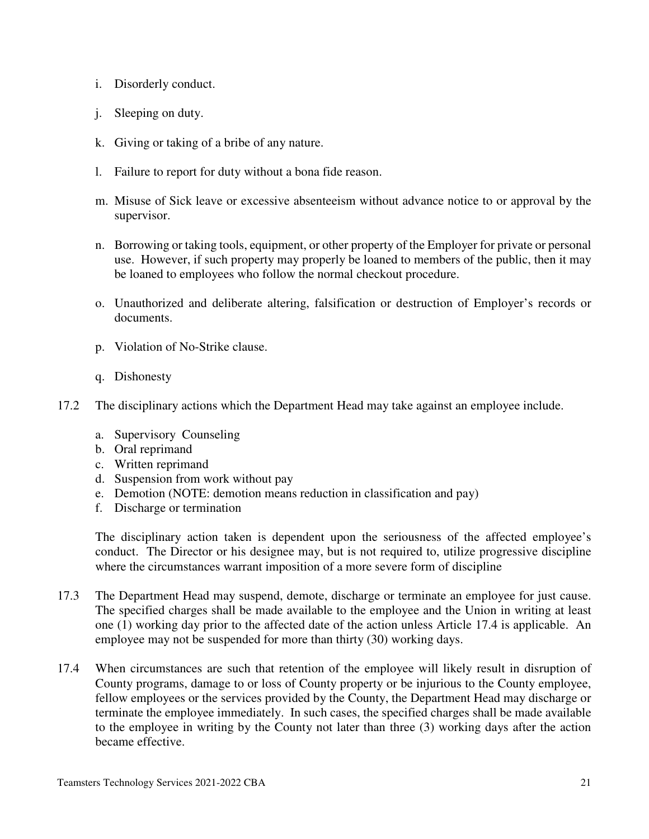- i. Disorderly conduct.
- j. Sleeping on duty.
- k. Giving or taking of a bribe of any nature.
- l. Failure to report for duty without a bona fide reason.
- m. Misuse of Sick leave or excessive absenteeism without advance notice to or approval by the supervisor.
- n. Borrowing or taking tools, equipment, or other property of the Employer for private or personal use. However, if such property may properly be loaned to members of the public, then it may be loaned to employees who follow the normal checkout procedure.
- o. Unauthorized and deliberate altering, falsification or destruction of Employer's records or documents.
- p. Violation of No-Strike clause.
- q. Dishonesty
- 17.2 The disciplinary actions which the Department Head may take against an employee include.
	- a. Supervisory Counseling
	- b. Oral reprimand
	- c. Written reprimand
	- d. Suspension from work without pay
	- e. Demotion (NOTE: demotion means reduction in classification and pay)
	- f. Discharge or termination

The disciplinary action taken is dependent upon the seriousness of the affected employee's conduct. The Director or his designee may, but is not required to, utilize progressive discipline where the circumstances warrant imposition of a more severe form of discipline

- 17.3 The Department Head may suspend, demote, discharge or terminate an employee for just cause. The specified charges shall be made available to the employee and the Union in writing at least one (1) working day prior to the affected date of the action unless Article 17.4 is applicable. An employee may not be suspended for more than thirty (30) working days.
- 17.4 When circumstances are such that retention of the employee will likely result in disruption of County programs, damage to or loss of County property or be injurious to the County employee, fellow employees or the services provided by the County, the Department Head may discharge or terminate the employee immediately. In such cases, the specified charges shall be made available to the employee in writing by the County not later than three (3) working days after the action became effective.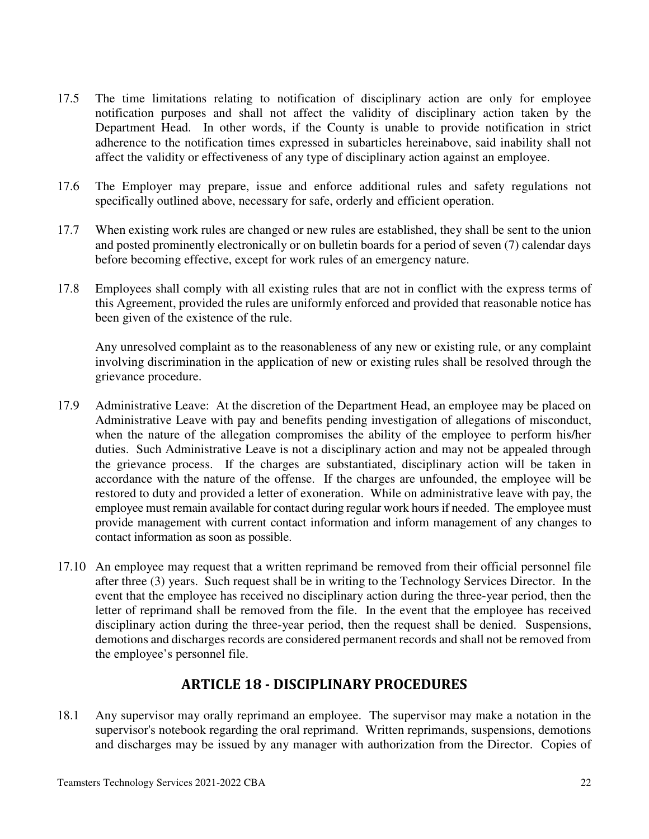- 17.5 The time limitations relating to notification of disciplinary action are only for employee notification purposes and shall not affect the validity of disciplinary action taken by the Department Head. In other words, if the County is unable to provide notification in strict adherence to the notification times expressed in subarticles hereinabove, said inability shall not affect the validity or effectiveness of any type of disciplinary action against an employee.
- 17.6 The Employer may prepare, issue and enforce additional rules and safety regulations not specifically outlined above, necessary for safe, orderly and efficient operation.
- 17.7 When existing work rules are changed or new rules are established, they shall be sent to the union and posted prominently electronically or on bulletin boards for a period of seven (7) calendar days before becoming effective, except for work rules of an emergency nature.
- 17.8 Employees shall comply with all existing rules that are not in conflict with the express terms of this Agreement, provided the rules are uniformly enforced and provided that reasonable notice has been given of the existence of the rule.

 Any unresolved complaint as to the reasonableness of any new or existing rule, or any complaint involving discrimination in the application of new or existing rules shall be resolved through the grievance procedure.

- 17.9 Administrative Leave: At the discretion of the Department Head, an employee may be placed on Administrative Leave with pay and benefits pending investigation of allegations of misconduct, when the nature of the allegation compromises the ability of the employee to perform his/her duties. Such Administrative Leave is not a disciplinary action and may not be appealed through the grievance process. If the charges are substantiated, disciplinary action will be taken in accordance with the nature of the offense. If the charges are unfounded, the employee will be restored to duty and provided a letter of exoneration. While on administrative leave with pay, the employee must remain available for contact during regular work hours if needed. The employee must provide management with current contact information and inform management of any changes to contact information as soon as possible.
- 17.10 An employee may request that a written reprimand be removed from their official personnel file after three (3) years. Such request shall be in writing to the Technology Services Director. In the event that the employee has received no disciplinary action during the three-year period, then the letter of reprimand shall be removed from the file. In the event that the employee has received disciplinary action during the three-year period, then the request shall be denied. Suspensions, demotions and discharges records are considered permanent records and shall not be removed from the employee's personnel file.

### **ARTICLE 18 - DISCIPLINARY PROCEDURES**

18.1 Any supervisor may orally reprimand an employee. The supervisor may make a notation in the supervisor's notebook regarding the oral reprimand. Written reprimands, suspensions, demotions and discharges may be issued by any manager with authorization from the Director. Copies of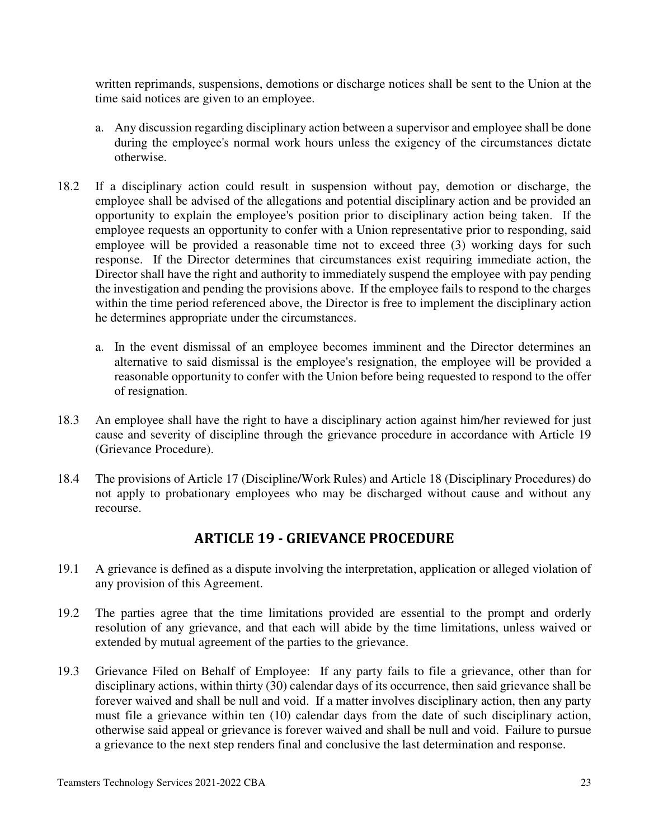written reprimands, suspensions, demotions or discharge notices shall be sent to the Union at the time said notices are given to an employee.

- a. Any discussion regarding disciplinary action between a supervisor and employee shall be done during the employee's normal work hours unless the exigency of the circumstances dictate otherwise.
- 18.2 If a disciplinary action could result in suspension without pay, demotion or discharge, the employee shall be advised of the allegations and potential disciplinary action and be provided an opportunity to explain the employee's position prior to disciplinary action being taken. If the employee requests an opportunity to confer with a Union representative prior to responding, said employee will be provided a reasonable time not to exceed three (3) working days for such response. If the Director determines that circumstances exist requiring immediate action, the Director shall have the right and authority to immediately suspend the employee with pay pending the investigation and pending the provisions above. If the employee fails to respond to the charges within the time period referenced above, the Director is free to implement the disciplinary action he determines appropriate under the circumstances.
	- a. In the event dismissal of an employee becomes imminent and the Director determines an alternative to said dismissal is the employee's resignation, the employee will be provided a reasonable opportunity to confer with the Union before being requested to respond to the offer of resignation.
- 18.3 An employee shall have the right to have a disciplinary action against him/her reviewed for just cause and severity of discipline through the grievance procedure in accordance with Article 19 (Grievance Procedure).
- 18.4 The provisions of Article 17 (Discipline/Work Rules) and Article 18 (Disciplinary Procedures) do not apply to probationary employees who may be discharged without cause and without any recourse.

### **ARTICLE 19 - GRIEVANCE PROCEDURE**

- 19.1 A grievance is defined as a dispute involving the interpretation, application or alleged violation of any provision of this Agreement.
- 19.2 The parties agree that the time limitations provided are essential to the prompt and orderly resolution of any grievance, and that each will abide by the time limitations, unless waived or extended by mutual agreement of the parties to the grievance.
- 19.3 Grievance Filed on Behalf of Employee: If any party fails to file a grievance, other than for disciplinary actions, within thirty (30) calendar days of its occurrence, then said grievance shall be forever waived and shall be null and void. If a matter involves disciplinary action, then any party must file a grievance within ten (10) calendar days from the date of such disciplinary action, otherwise said appeal or grievance is forever waived and shall be null and void. Failure to pursue a grievance to the next step renders final and conclusive the last determination and response.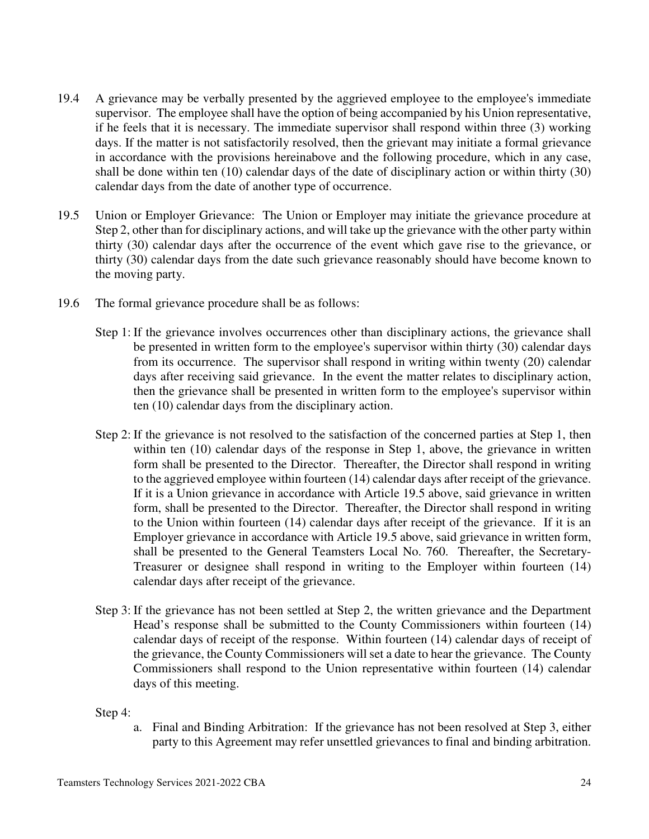- 19.4 A grievance may be verbally presented by the aggrieved employee to the employee's immediate supervisor. The employee shall have the option of being accompanied by his Union representative, if he feels that it is necessary. The immediate supervisor shall respond within three (3) working days. If the matter is not satisfactorily resolved, then the grievant may initiate a formal grievance in accordance with the provisions hereinabove and the following procedure, which in any case, shall be done within ten (10) calendar days of the date of disciplinary action or within thirty (30) calendar days from the date of another type of occurrence.
- 19.5 Union or Employer Grievance: The Union or Employer may initiate the grievance procedure at Step 2, other than for disciplinary actions, and will take up the grievance with the other party within thirty (30) calendar days after the occurrence of the event which gave rise to the grievance, or thirty (30) calendar days from the date such grievance reasonably should have become known to the moving party.
- 19.6 The formal grievance procedure shall be as follows:
	- Step 1: If the grievance involves occurrences other than disciplinary actions, the grievance shall be presented in written form to the employee's supervisor within thirty (30) calendar days from its occurrence. The supervisor shall respond in writing within twenty (20) calendar days after receiving said grievance. In the event the matter relates to disciplinary action, then the grievance shall be presented in written form to the employee's supervisor within ten (10) calendar days from the disciplinary action.
	- Step 2: If the grievance is not resolved to the satisfaction of the concerned parties at Step 1, then within ten (10) calendar days of the response in Step 1, above, the grievance in written form shall be presented to the Director. Thereafter, the Director shall respond in writing to the aggrieved employee within fourteen (14) calendar days after receipt of the grievance. If it is a Union grievance in accordance with Article 19.5 above, said grievance in written form, shall be presented to the Director. Thereafter, the Director shall respond in writing to the Union within fourteen (14) calendar days after receipt of the grievance. If it is an Employer grievance in accordance with Article 19.5 above, said grievance in written form, shall be presented to the General Teamsters Local No. 760. Thereafter, the Secretary-Treasurer or designee shall respond in writing to the Employer within fourteen (14) calendar days after receipt of the grievance.
	- Step 3: If the grievance has not been settled at Step 2, the written grievance and the Department Head's response shall be submitted to the County Commissioners within fourteen (14) calendar days of receipt of the response. Within fourteen (14) calendar days of receipt of the grievance, the County Commissioners will set a date to hear the grievance. The County Commissioners shall respond to the Union representative within fourteen (14) calendar days of this meeting.

Step 4:

a. Final and Binding Arbitration: If the grievance has not been resolved at Step 3, either party to this Agreement may refer unsettled grievances to final and binding arbitration.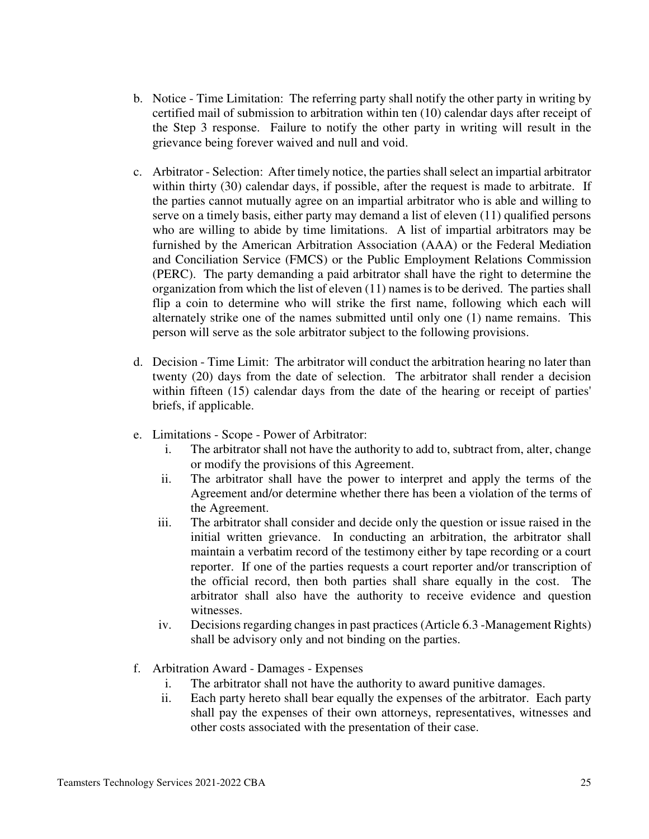- b. Notice Time Limitation: The referring party shall notify the other party in writing by certified mail of submission to arbitration within ten (10) calendar days after receipt of the Step 3 response. Failure to notify the other party in writing will result in the grievance being forever waived and null and void.
- c. Arbitrator Selection: After timely notice, the parties shall select an impartial arbitrator within thirty (30) calendar days, if possible, after the request is made to arbitrate. If the parties cannot mutually agree on an impartial arbitrator who is able and willing to serve on a timely basis, either party may demand a list of eleven (11) qualified persons who are willing to abide by time limitations. A list of impartial arbitrators may be furnished by the American Arbitration Association (AAA) or the Federal Mediation and Conciliation Service (FMCS) or the Public Employment Relations Commission (PERC). The party demanding a paid arbitrator shall have the right to determine the organization from which the list of eleven (11) names is to be derived. The parties shall flip a coin to determine who will strike the first name, following which each will alternately strike one of the names submitted until only one (1) name remains. This person will serve as the sole arbitrator subject to the following provisions.
- d. Decision Time Limit: The arbitrator will conduct the arbitration hearing no later than twenty (20) days from the date of selection. The arbitrator shall render a decision within fifteen (15) calendar days from the date of the hearing or receipt of parties' briefs, if applicable.
- e. Limitations Scope Power of Arbitrator:
	- i. The arbitrator shall not have the authority to add to, subtract from, alter, change or modify the provisions of this Agreement.
	- ii. The arbitrator shall have the power to interpret and apply the terms of the Agreement and/or determine whether there has been a violation of the terms of the Agreement.
	- iii. The arbitrator shall consider and decide only the question or issue raised in the initial written grievance. In conducting an arbitration, the arbitrator shall maintain a verbatim record of the testimony either by tape recording or a court reporter. If one of the parties requests a court reporter and/or transcription of the official record, then both parties shall share equally in the cost. The arbitrator shall also have the authority to receive evidence and question witnesses.
	- iv. Decisions regarding changes in past practices (Article 6.3 -Management Rights) shall be advisory only and not binding on the parties.
- f. Arbitration Award Damages Expenses
	- i. The arbitrator shall not have the authority to award punitive damages.
	- ii. Each party hereto shall bear equally the expenses of the arbitrator. Each party shall pay the expenses of their own attorneys, representatives, witnesses and other costs associated with the presentation of their case.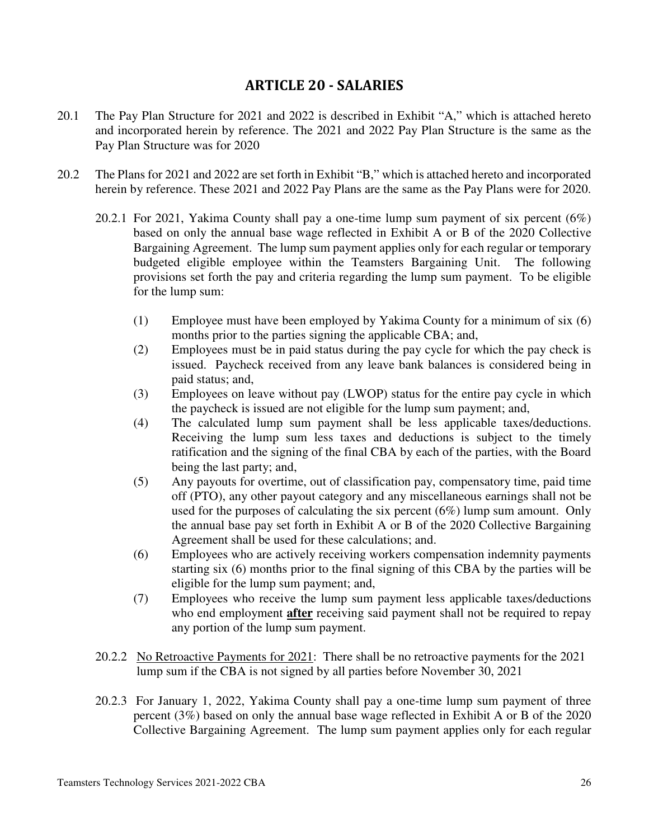### **ARTICLE 20 - SALARIES**

- 20.1 The Pay Plan Structure for 2021 and 2022 is described in Exhibit "A," which is attached hereto and incorporated herein by reference. The 2021 and 2022 Pay Plan Structure is the same as the Pay Plan Structure was for 2020
- 20.2 The Plans for 2021 and 2022 are set forth in Exhibit "B," which is attached hereto and incorporated herein by reference. These 2021 and 2022 Pay Plans are the same as the Pay Plans were for 2020.
	- 20.2.1For 2021, Yakima County shall pay a one-time lump sum payment of six percent (6%) based on only the annual base wage reflected in Exhibit A or B of the 2020 Collective Bargaining Agreement. The lump sum payment applies only for each regular or temporary budgeted eligible employee within the Teamsters Bargaining Unit. The following provisions set forth the pay and criteria regarding the lump sum payment. To be eligible for the lump sum:
		- (1) Employee must have been employed by Yakima County for a minimum of six (6) months prior to the parties signing the applicable CBA; and,
		- (2) Employees must be in paid status during the pay cycle for which the pay check is issued. Paycheck received from any leave bank balances is considered being in paid status; and,
		- (3) Employees on leave without pay (LWOP) status for the entire pay cycle in which the paycheck is issued are not eligible for the lump sum payment; and,
		- (4) The calculated lump sum payment shall be less applicable taxes/deductions. Receiving the lump sum less taxes and deductions is subject to the timely ratification and the signing of the final CBA by each of the parties, with the Board being the last party; and,
		- (5) Any payouts for overtime, out of classification pay, compensatory time, paid time off (PTO), any other payout category and any miscellaneous earnings shall not be used for the purposes of calculating the six percent  $(6\%)$  lump sum amount. Only the annual base pay set forth in Exhibit A or B of the 2020 Collective Bargaining Agreement shall be used for these calculations; and.
		- (6) Employees who are actively receiving workers compensation indemnity payments starting six (6) months prior to the final signing of this CBA by the parties will be eligible for the lump sum payment; and,
		- (7) Employees who receive the lump sum payment less applicable taxes/deductions who end employment **after** receiving said payment shall not be required to repay any portion of the lump sum payment.
	- 20.2.2 No Retroactive Payments for 2021: There shall be no retroactive payments for the 2021 lump sum if the CBA is not signed by all parties before November 30, 2021
	- 20.2.3 For January 1, 2022, Yakima County shall pay a one-time lump sum payment of three percent (3%) based on only the annual base wage reflected in Exhibit A or B of the 2020 Collective Bargaining Agreement. The lump sum payment applies only for each regular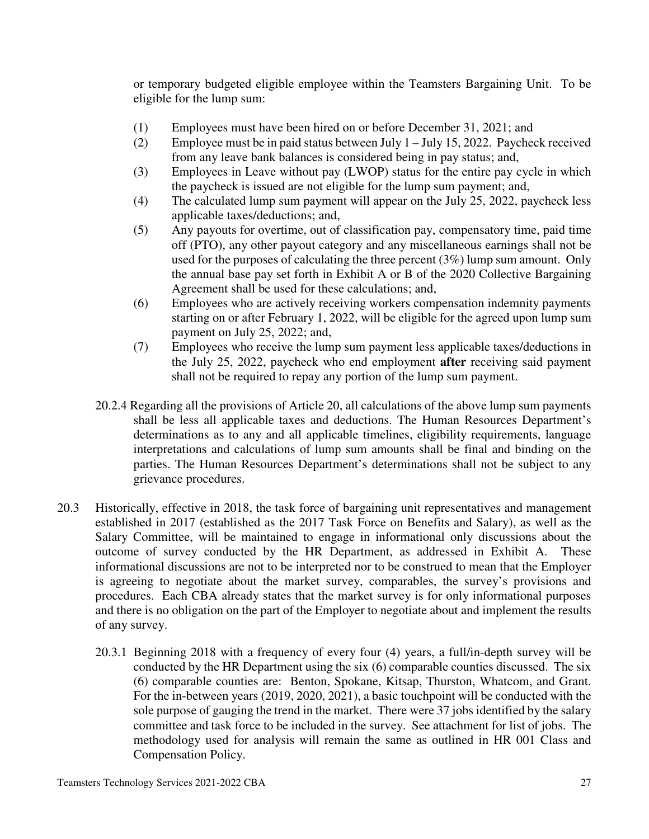or temporary budgeted eligible employee within the Teamsters Bargaining Unit. To be eligible for the lump sum:

- (1) Employees must have been hired on or before December 31, 2021; and
- (2) Employee must be in paid status between July 1 July 15, 2022. Paycheck received from any leave bank balances is considered being in pay status; and,
- (3) Employees in Leave without pay (LWOP) status for the entire pay cycle in which the paycheck is issued are not eligible for the lump sum payment; and,
- (4) The calculated lump sum payment will appear on the July 25, 2022, paycheck less applicable taxes/deductions; and,
- (5) Any payouts for overtime, out of classification pay, compensatory time, paid time off (PTO), any other payout category and any miscellaneous earnings shall not be used for the purposes of calculating the three percent (3%) lump sum amount. Only the annual base pay set forth in Exhibit A or B of the 2020 Collective Bargaining Agreement shall be used for these calculations; and,
- (6) Employees who are actively receiving workers compensation indemnity payments starting on or after February 1, 2022, will be eligible for the agreed upon lump sum payment on July 25, 2022; and,
- (7) Employees who receive the lump sum payment less applicable taxes/deductions in the July 25, 2022, paycheck who end employment **after** receiving said payment shall not be required to repay any portion of the lump sum payment.
- 20.2.4 Regarding all the provisions of Article 20, all calculations of the above lump sum payments shall be less all applicable taxes and deductions. The Human Resources Department's determinations as to any and all applicable timelines, eligibility requirements, language interpretations and calculations of lump sum amounts shall be final and binding on the parties. The Human Resources Department's determinations shall not be subject to any grievance procedures.
- 20.3 Historically, effective in 2018, the task force of bargaining unit representatives and management established in 2017 (established as the 2017 Task Force on Benefits and Salary), as well as the Salary Committee, will be maintained to engage in informational only discussions about the outcome of survey conducted by the HR Department, as addressed in Exhibit A. These informational discussions are not to be interpreted nor to be construed to mean that the Employer is agreeing to negotiate about the market survey, comparables, the survey's provisions and procedures. Each CBA already states that the market survey is for only informational purposes and there is no obligation on the part of the Employer to negotiate about and implement the results of any survey.
	- 20.3.1 Beginning 2018 with a frequency of every four (4) years, a full/in-depth survey will be conducted by the HR Department using the six (6) comparable counties discussed. The six (6) comparable counties are: Benton, Spokane, Kitsap, Thurston, Whatcom, and Grant. For the in-between years (2019, 2020, 2021), a basic touchpoint will be conducted with the sole purpose of gauging the trend in the market. There were 37 jobs identified by the salary committee and task force to be included in the survey. See attachment for list of jobs. The methodology used for analysis will remain the same as outlined in HR 001 Class and Compensation Policy.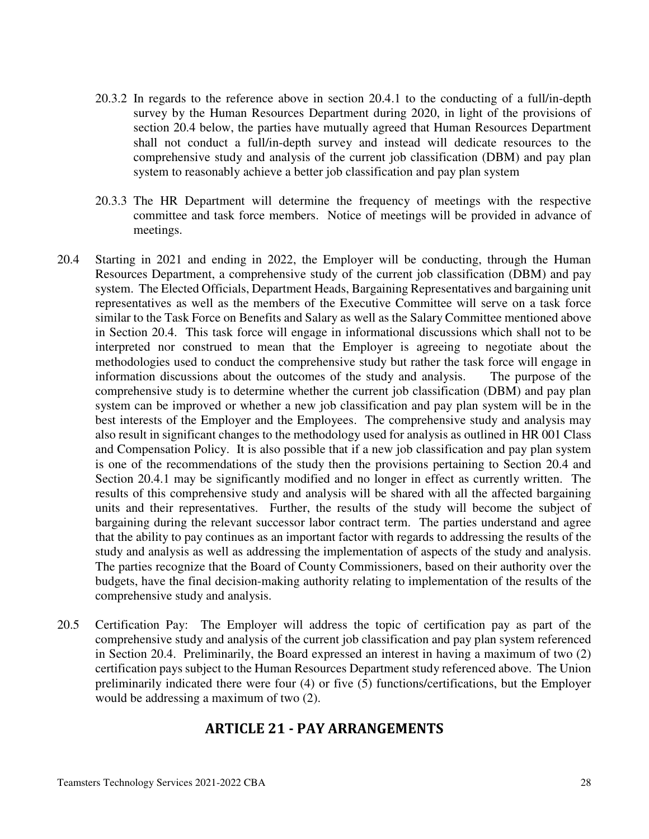- 20.3.2 In regards to the reference above in section 20.4.1 to the conducting of a full/in-depth survey by the Human Resources Department during 2020, in light of the provisions of section 20.4 below, the parties have mutually agreed that Human Resources Department shall not conduct a full/in-depth survey and instead will dedicate resources to the comprehensive study and analysis of the current job classification (DBM) and pay plan system to reasonably achieve a better job classification and pay plan system
- 20.3.3 The HR Department will determine the frequency of meetings with the respective committee and task force members. Notice of meetings will be provided in advance of meetings.
- 20.4 Starting in 2021 and ending in 2022, the Employer will be conducting, through the Human Resources Department, a comprehensive study of the current job classification (DBM) and pay system. The Elected Officials, Department Heads, Bargaining Representatives and bargaining unit representatives as well as the members of the Executive Committee will serve on a task force similar to the Task Force on Benefits and Salary as well as the Salary Committee mentioned above in Section 20.4. This task force will engage in informational discussions which shall not to be interpreted nor construed to mean that the Employer is agreeing to negotiate about the methodologies used to conduct the comprehensive study but rather the task force will engage in information discussions about the outcomes of the study and analysis. The purpose of the comprehensive study is to determine whether the current job classification (DBM) and pay plan system can be improved or whether a new job classification and pay plan system will be in the best interests of the Employer and the Employees. The comprehensive study and analysis may also result in significant changes to the methodology used for analysis as outlined in HR 001 Class and Compensation Policy. It is also possible that if a new job classification and pay plan system is one of the recommendations of the study then the provisions pertaining to Section 20.4 and Section 20.4.1 may be significantly modified and no longer in effect as currently written. The results of this comprehensive study and analysis will be shared with all the affected bargaining units and their representatives. Further, the results of the study will become the subject of bargaining during the relevant successor labor contract term. The parties understand and agree that the ability to pay continues as an important factor with regards to addressing the results of the study and analysis as well as addressing the implementation of aspects of the study and analysis. The parties recognize that the Board of County Commissioners, based on their authority over the budgets, have the final decision-making authority relating to implementation of the results of the comprehensive study and analysis.
- 20.5 Certification Pay: The Employer will address the topic of certification pay as part of the comprehensive study and analysis of the current job classification and pay plan system referenced in Section 20.4. Preliminarily, the Board expressed an interest in having a maximum of two (2) certification pays subject to the Human Resources Department study referenced above. The Union preliminarily indicated there were four (4) or five (5) functions/certifications, but the Employer would be addressing a maximum of two (2).

### **ARTICLE 21 - PAY ARRANGEMENTS**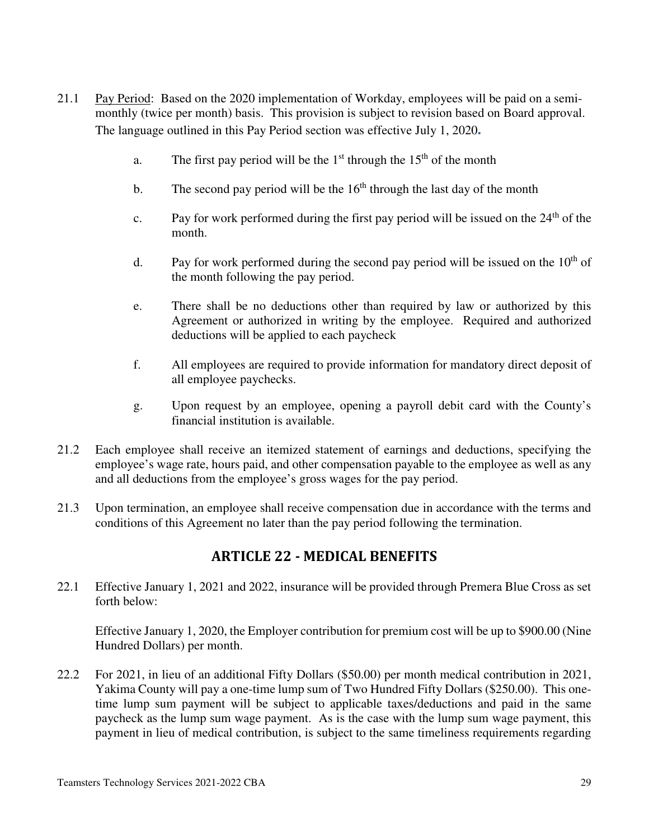- 21.1 Pay Period: Based on the 2020 implementation of Workday, employees will be paid on a semimonthly (twice per month) basis. This provision is subject to revision based on Board approval. The language outlined in this Pay Period section was effective July 1, 2020**.** 
	- a. The first pay period will be the 1<sup>st</sup> through the 15<sup>th</sup> of the month
	- b. The second pay period will be the  $16<sup>th</sup>$  through the last day of the month
	- c. Pay for work performed during the first pay period will be issued on the  $24<sup>th</sup>$  of the month.
	- d. Pay for work performed during the second pay period will be issued on the  $10<sup>th</sup>$  of the month following the pay period.
	- e. There shall be no deductions other than required by law or authorized by this Agreement or authorized in writing by the employee. Required and authorized deductions will be applied to each paycheck
	- f. All employees are required to provide information for mandatory direct deposit of all employee paychecks.
	- g. Upon request by an employee, opening a payroll debit card with the County's financial institution is available.
- 21.2 Each employee shall receive an itemized statement of earnings and deductions, specifying the employee's wage rate, hours paid, and other compensation payable to the employee as well as any and all deductions from the employee's gross wages for the pay period.
- 21.3 Upon termination, an employee shall receive compensation due in accordance with the terms and conditions of this Agreement no later than the pay period following the termination.

# **ARTICLE 22 - MEDICAL BENEFITS**

22.1 Effective January 1, 2021 and 2022, insurance will be provided through Premera Blue Cross as set forth below:

Effective January 1, 2020, the Employer contribution for premium cost will be up to \$900.00 (Nine Hundred Dollars) per month.

22.2 For 2021, in lieu of an additional Fifty Dollars (\$50.00) per month medical contribution in 2021, Yakima County will pay a one-time lump sum of Two Hundred Fifty Dollars (\$250.00). This onetime lump sum payment will be subject to applicable taxes/deductions and paid in the same paycheck as the lump sum wage payment. As is the case with the lump sum wage payment, this payment in lieu of medical contribution, is subject to the same timeliness requirements regarding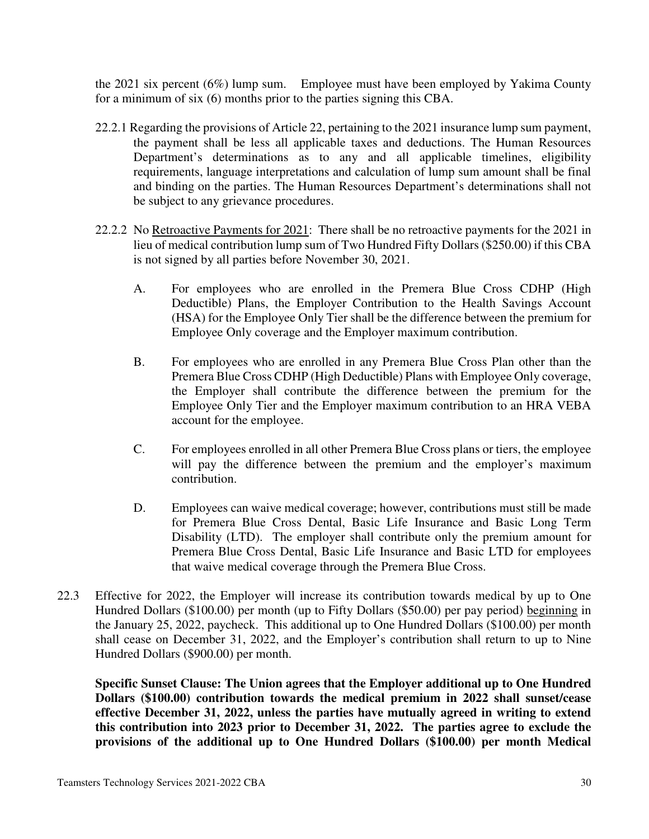the 2021 six percent (6%) lump sum. Employee must have been employed by Yakima County for a minimum of six (6) months prior to the parties signing this CBA.

- 22.2.1 Regarding the provisions of Article 22, pertaining to the 2021 insurance lump sum payment, the payment shall be less all applicable taxes and deductions. The Human Resources Department's determinations as to any and all applicable timelines, eligibility requirements, language interpretations and calculation of lump sum amount shall be final and binding on the parties. The Human Resources Department's determinations shall not be subject to any grievance procedures.
- 22.2.2 No Retroactive Payments for 2021: There shall be no retroactive payments for the 2021 in lieu of medical contribution lump sum of Two Hundred Fifty Dollars (\$250.00) if this CBA is not signed by all parties before November 30, 2021.
	- A. For employees who are enrolled in the Premera Blue Cross CDHP (High Deductible) Plans, the Employer Contribution to the Health Savings Account (HSA) for the Employee Only Tier shall be the difference between the premium for Employee Only coverage and the Employer maximum contribution.
	- B. For employees who are enrolled in any Premera Blue Cross Plan other than the Premera Blue Cross CDHP (High Deductible) Plans with Employee Only coverage, the Employer shall contribute the difference between the premium for the Employee Only Tier and the Employer maximum contribution to an HRA VEBA account for the employee.
	- C. For employees enrolled in all other Premera Blue Cross plans or tiers, the employee will pay the difference between the premium and the employer's maximum contribution.
	- D. Employees can waive medical coverage; however, contributions must still be made for Premera Blue Cross Dental, Basic Life Insurance and Basic Long Term Disability (LTD). The employer shall contribute only the premium amount for Premera Blue Cross Dental, Basic Life Insurance and Basic LTD for employees that waive medical coverage through the Premera Blue Cross.
- 22.3 Effective for 2022, the Employer will increase its contribution towards medical by up to One Hundred Dollars (\$100.00) per month (up to Fifty Dollars (\$50.00) per pay period) beginning in the January 25, 2022, paycheck. This additional up to One Hundred Dollars (\$100.00) per month shall cease on December 31, 2022, and the Employer's contribution shall return to up to Nine Hundred Dollars (\$900.00) per month.

**Specific Sunset Clause: The Union agrees that the Employer additional up to One Hundred Dollars (\$100.00) contribution towards the medical premium in 2022 shall sunset/cease effective December 31, 2022, unless the parties have mutually agreed in writing to extend this contribution into 2023 prior to December 31, 2022. The parties agree to exclude the provisions of the additional up to One Hundred Dollars (\$100.00) per month Medical**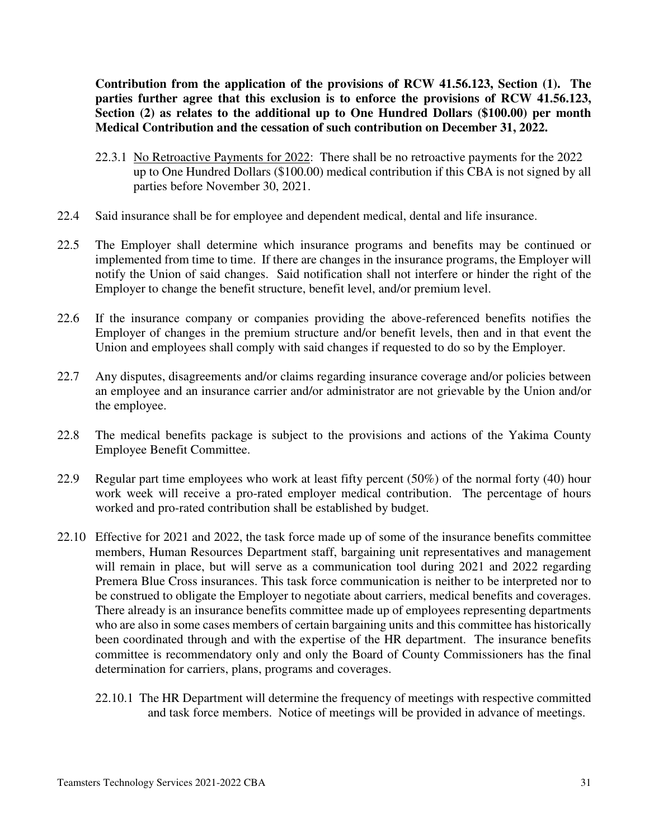**Contribution from the application of the provisions of RCW 41.56.123, Section (1). The parties further agree that this exclusion is to enforce the provisions of RCW 41.56.123, Section (2) as relates to the additional up to One Hundred Dollars (\$100.00) per month Medical Contribution and the cessation of such contribution on December 31, 2022.** 

- 22.3.1 No Retroactive Payments for 2022: There shall be no retroactive payments for the 2022 up to One Hundred Dollars (\$100.00) medical contribution if this CBA is not signed by all parties before November 30, 2021.
- 22.4 Said insurance shall be for employee and dependent medical, dental and life insurance.
- 22.5 The Employer shall determine which insurance programs and benefits may be continued or implemented from time to time. If there are changes in the insurance programs, the Employer will notify the Union of said changes. Said notification shall not interfere or hinder the right of the Employer to change the benefit structure, benefit level, and/or premium level.
- 22.6 If the insurance company or companies providing the above-referenced benefits notifies the Employer of changes in the premium structure and/or benefit levels, then and in that event the Union and employees shall comply with said changes if requested to do so by the Employer.
- 22.7 Any disputes, disagreements and/or claims regarding insurance coverage and/or policies between an employee and an insurance carrier and/or administrator are not grievable by the Union and/or the employee.
- 22.8 The medical benefits package is subject to the provisions and actions of the Yakima County Employee Benefit Committee.
- 22.9 Regular part time employees who work at least fifty percent (50%) of the normal forty (40) hour work week will receive a pro-rated employer medical contribution. The percentage of hours worked and pro-rated contribution shall be established by budget.
- 22.10 Effective for 2021 and 2022, the task force made up of some of the insurance benefits committee members, Human Resources Department staff, bargaining unit representatives and management will remain in place, but will serve as a communication tool during 2021 and 2022 regarding Premera Blue Cross insurances. This task force communication is neither to be interpreted nor to be construed to obligate the Employer to negotiate about carriers, medical benefits and coverages. There already is an insurance benefits committee made up of employees representing departments who are also in some cases members of certain bargaining units and this committee has historically been coordinated through and with the expertise of the HR department. The insurance benefits committee is recommendatory only and only the Board of County Commissioners has the final determination for carriers, plans, programs and coverages.
	- 22.10.1 The HR Department will determine the frequency of meetings with respective committed and task force members. Notice of meetings will be provided in advance of meetings.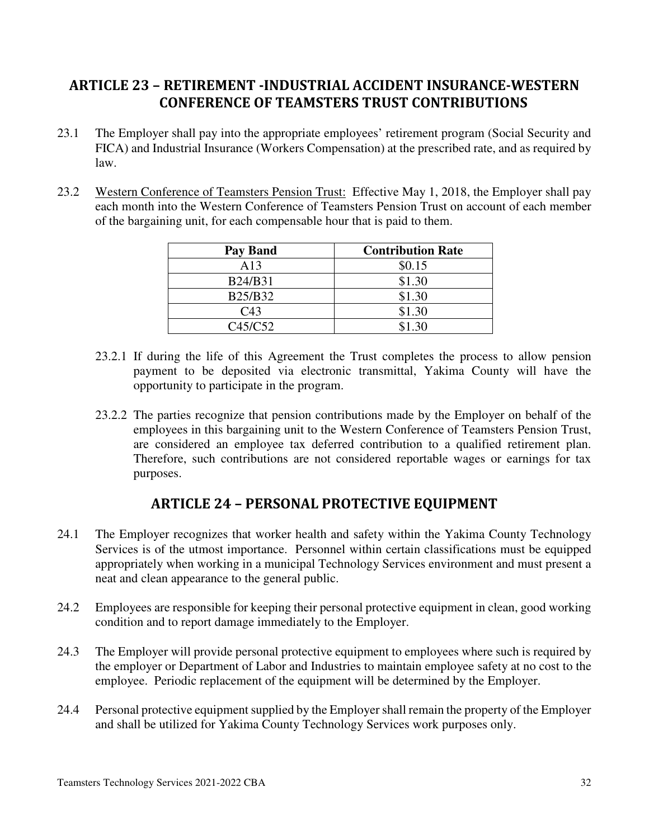## **ARTICLE 23 – RETIREMENT -INDUSTRIAL ACCIDENT INSURANCE-WESTERN CONFERENCE OF TEAMSTERS TRUST CONTRIBUTIONS**

- 23.1 The Employer shall pay into the appropriate employees' retirement program (Social Security and FICA) and Industrial Insurance (Workers Compensation) at the prescribed rate, and as required by law.
- 23.2 Western Conference of Teamsters Pension Trust: Effective May 1, 2018, the Employer shall pay each month into the Western Conference of Teamsters Pension Trust on account of each member of the bargaining unit, for each compensable hour that is paid to them.

| Pay Band                         | <b>Contribution Rate</b> |
|----------------------------------|--------------------------|
| A13                              | \$0.15                   |
| <b>B24/B31</b>                   | \$1.30                   |
| <b>B25/B32</b>                   | \$1.30                   |
| C <sub>43</sub>                  | \$1.30                   |
| C <sub>45</sub> /C <sub>52</sub> | \$1.30                   |

- 23.2.1 If during the life of this Agreement the Trust completes the process to allow pension payment to be deposited via electronic transmittal, Yakima County will have the opportunity to participate in the program.
- 23.2.2 The parties recognize that pension contributions made by the Employer on behalf of the employees in this bargaining unit to the Western Conference of Teamsters Pension Trust, are considered an employee tax deferred contribution to a qualified retirement plan. Therefore, such contributions are not considered reportable wages or earnings for tax purposes.

### **ARTICLE 24 – PERSONAL PROTECTIVE EQUIPMENT**

- 24.1 The Employer recognizes that worker health and safety within the Yakima County Technology Services is of the utmost importance. Personnel within certain classifications must be equipped appropriately when working in a municipal Technology Services environment and must present a neat and clean appearance to the general public.
- 24.2 Employees are responsible for keeping their personal protective equipment in clean, good working condition and to report damage immediately to the Employer.
- 24.3 The Employer will provide personal protective equipment to employees where such is required by the employer or Department of Labor and Industries to maintain employee safety at no cost to the employee. Periodic replacement of the equipment will be determined by the Employer.
- 24.4 Personal protective equipment supplied by the Employer shall remain the property of the Employer and shall be utilized for Yakima County Technology Services work purposes only.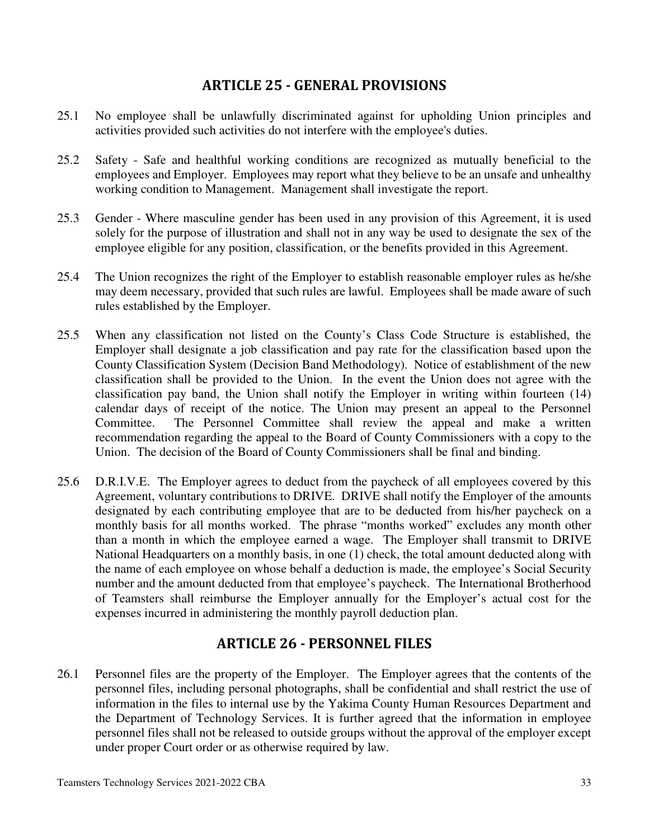#### **ARTICLE 25 - GENERAL PROVISIONS**

- 25.1 No employee shall be unlawfully discriminated against for upholding Union principles and activities provided such activities do not interfere with the employee's duties.
- 25.2 Safety Safe and healthful working conditions are recognized as mutually beneficial to the employees and Employer. Employees may report what they believe to be an unsafe and unhealthy working condition to Management. Management shall investigate the report.
- 25.3 Gender Where masculine gender has been used in any provision of this Agreement, it is used solely for the purpose of illustration and shall not in any way be used to designate the sex of the employee eligible for any position, classification, or the benefits provided in this Agreement.
- 25.4 The Union recognizes the right of the Employer to establish reasonable employer rules as he/she may deem necessary, provided that such rules are lawful. Employees shall be made aware of such rules established by the Employer.
- 25.5 When any classification not listed on the County's Class Code Structure is established, the Employer shall designate a job classification and pay rate for the classification based upon the County Classification System (Decision Band Methodology). Notice of establishment of the new classification shall be provided to the Union. In the event the Union does not agree with the classification pay band, the Union shall notify the Employer in writing within fourteen (14) calendar days of receipt of the notice. The Union may present an appeal to the Personnel Committee. The Personnel Committee shall review the appeal and make a written recommendation regarding the appeal to the Board of County Commissioners with a copy to the Union. The decision of the Board of County Commissioners shall be final and binding.
- 25.6 D.R.I.V.E. The Employer agrees to deduct from the paycheck of all employees covered by this Agreement, voluntary contributions to DRIVE. DRIVE shall notify the Employer of the amounts designated by each contributing employee that are to be deducted from his/her paycheck on a monthly basis for all months worked. The phrase "months worked" excludes any month other than a month in which the employee earned a wage. The Employer shall transmit to DRIVE National Headquarters on a monthly basis, in one (1) check, the total amount deducted along with the name of each employee on whose behalf a deduction is made, the employee's Social Security number and the amount deducted from that employee's paycheck. The International Brotherhood of Teamsters shall reimburse the Employer annually for the Employer's actual cost for the expenses incurred in administering the monthly payroll deduction plan.

### **ARTICLE 26 - PERSONNEL FILES**

26.1 Personnel files are the property of the Employer. The Employer agrees that the contents of the personnel files, including personal photographs, shall be confidential and shall restrict the use of information in the files to internal use by the Yakima County Human Resources Department and the Department of Technology Services. It is further agreed that the information in employee personnel files shall not be released to outside groups without the approval of the employer except under proper Court order or as otherwise required by law.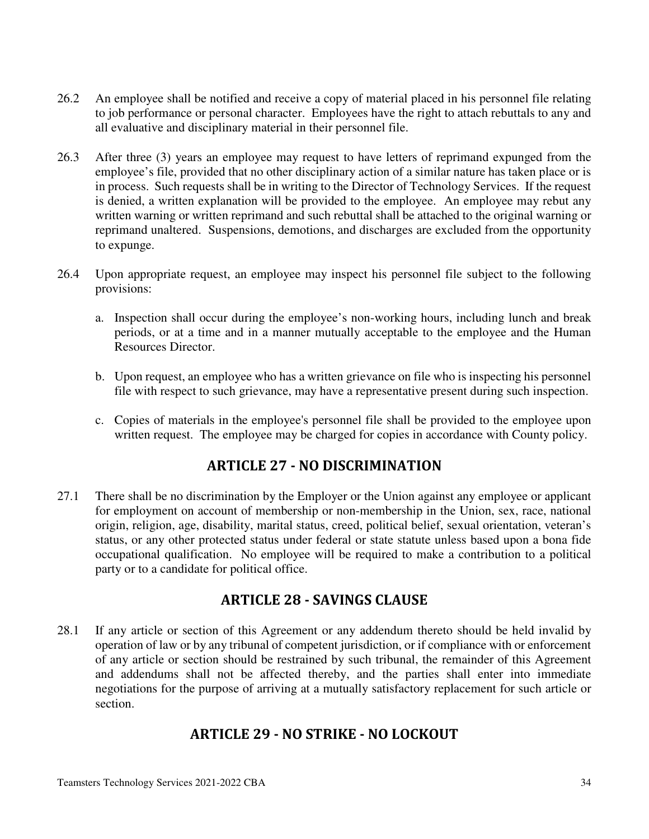- 26.2 An employee shall be notified and receive a copy of material placed in his personnel file relating to job performance or personal character. Employees have the right to attach rebuttals to any and all evaluative and disciplinary material in their personnel file.
- 26.3 After three (3) years an employee may request to have letters of reprimand expunged from the employee's file, provided that no other disciplinary action of a similar nature has taken place or is in process. Such requests shall be in writing to the Director of Technology Services. If the request is denied, a written explanation will be provided to the employee. An employee may rebut any written warning or written reprimand and such rebuttal shall be attached to the original warning or reprimand unaltered. Suspensions, demotions, and discharges are excluded from the opportunity to expunge.
- 26.4 Upon appropriate request, an employee may inspect his personnel file subject to the following provisions:
	- a. Inspection shall occur during the employee's non-working hours, including lunch and break periods, or at a time and in a manner mutually acceptable to the employee and the Human Resources Director.
	- b. Upon request, an employee who has a written grievance on file who is inspecting his personnel file with respect to such grievance, may have a representative present during such inspection.
	- c. Copies of materials in the employee's personnel file shall be provided to the employee upon written request. The employee may be charged for copies in accordance with County policy.

# **ARTICLE 27 - NO DISCRIMINATION**

27.1 There shall be no discrimination by the Employer or the Union against any employee or applicant for employment on account of membership or non-membership in the Union, sex, race, national origin, religion, age, disability, marital status, creed, political belief, sexual orientation, veteran's status, or any other protected status under federal or state statute unless based upon a bona fide occupational qualification. No employee will be required to make a contribution to a political party or to a candidate for political office.

### **ARTICLE 28 - SAVINGS CLAUSE**

28.1 If any article or section of this Agreement or any addendum thereto should be held invalid by operation of law or by any tribunal of competent jurisdiction, or if compliance with or enforcement of any article or section should be restrained by such tribunal, the remainder of this Agreement and addendums shall not be affected thereby, and the parties shall enter into immediate negotiations for the purpose of arriving at a mutually satisfactory replacement for such article or section.

### **ARTICLE 29 - NO STRIKE - NO LOCKOUT**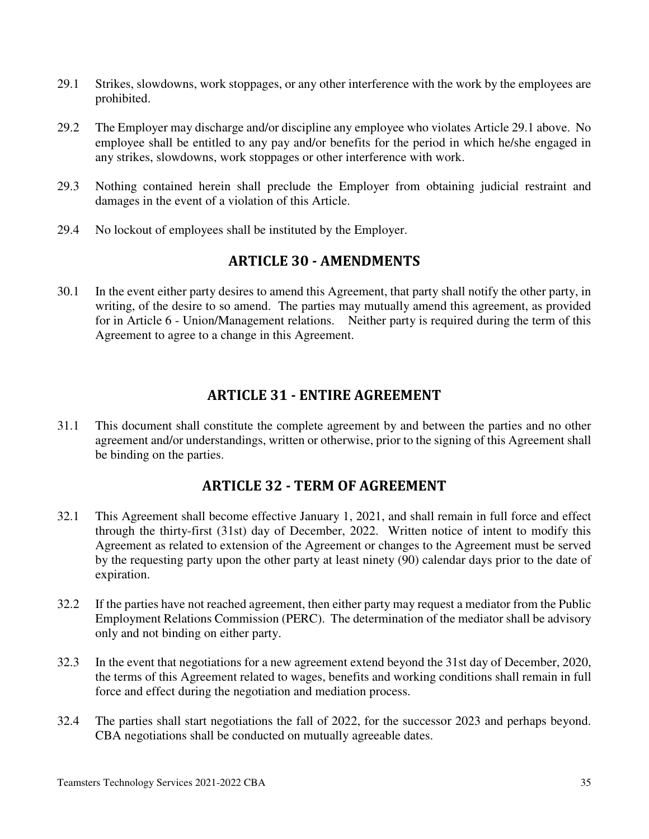- 29.1 Strikes, slowdowns, work stoppages, or any other interference with the work by the employees are prohibited.
- 29.2 The Employer may discharge and/or discipline any employee who violates Article 29.1 above. No employee shall be entitled to any pay and/or benefits for the period in which he/she engaged in any strikes, slowdowns, work stoppages or other interference with work.
- 29.3 Nothing contained herein shall preclude the Employer from obtaining judicial restraint and damages in the event of a violation of this Article.
- 29.4 No lockout of employees shall be instituted by the Employer.

### **ARTICLE 30 - AMENDMENTS**

30.1 In the event either party desires to amend this Agreement, that party shall notify the other party, in writing, of the desire to so amend. The parties may mutually amend this agreement, as provided for in Article 6 - Union/Management relations. Neither party is required during the term of this Agreement to agree to a change in this Agreement.

### **ARTICLE 31 - ENTIRE AGREEMENT**

31.1 This document shall constitute the complete agreement by and between the parties and no other agreement and/or understandings, written or otherwise, prior to the signing of this Agreement shall be binding on the parties.

# **ARTICLE 32 - TERM OF AGREEMENT**

- 32.1 This Agreement shall become effective January 1, 2021, and shall remain in full force and effect through the thirty-first (31st) day of December, 2022. Written notice of intent to modify this Agreement as related to extension of the Agreement or changes to the Agreement must be served by the requesting party upon the other party at least ninety (90) calendar days prior to the date of expiration.
- 32.2 If the parties have not reached agreement, then either party may request a mediator from the Public Employment Relations Commission (PERC). The determination of the mediator shall be advisory only and not binding on either party.
- 32.3 In the event that negotiations for a new agreement extend beyond the 31st day of December, 2020, the terms of this Agreement related to wages, benefits and working conditions shall remain in full force and effect during the negotiation and mediation process.
- 32.4 The parties shall start negotiations the fall of 2022, for the successor 2023 and perhaps beyond. CBA negotiations shall be conducted on mutually agreeable dates.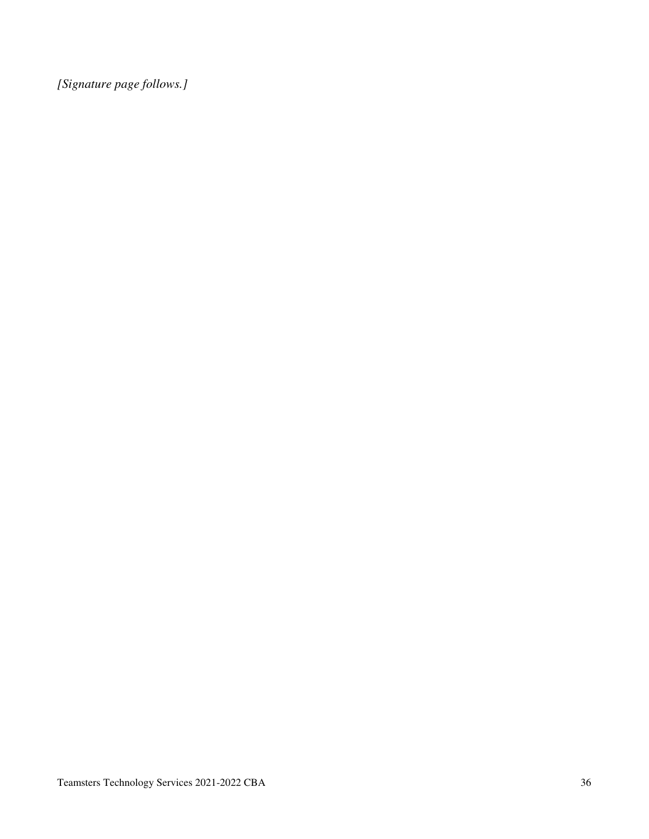*[Signature page follows.]*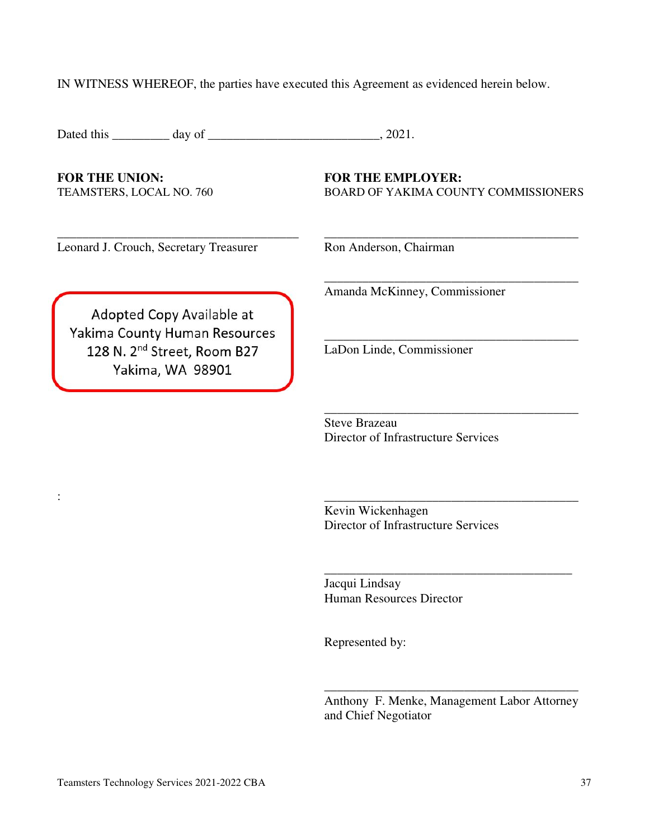IN WITNESS WHEREOF, the parties have executed this Agreement as evidenced herein below.

Dated this \_\_\_\_\_\_\_\_\_ day of \_\_\_\_\_\_\_\_\_\_\_\_\_\_\_\_\_\_\_\_\_\_\_\_\_\_\_\_\_, 2021.

**FOR THE UNION: FOR THE EMPLOYER:** 

TEAMSTERS, LOCAL NO. 760 BOARD OF YAKIMA COUNTY COMMISSIONERS

\_\_\_\_\_\_\_\_\_\_\_\_\_\_\_\_\_\_\_\_\_\_\_\_\_\_\_\_\_\_\_\_\_\_\_\_\_\_\_\_

\_\_\_\_\_\_\_\_\_\_\_\_\_\_\_\_\_\_\_\_\_\_\_\_\_\_\_\_\_\_\_\_\_\_\_\_\_\_\_\_

\_\_\_\_\_\_\_\_\_\_\_\_\_\_\_\_\_\_\_\_\_\_\_\_\_\_\_\_\_\_\_\_\_\_\_\_\_\_\_\_

Leonard J. Crouch, Secretary Treasurer Ron Anderson, Chairman

128 N. 2<sup>nd</sup> Street, Room B27 Yakima, WA 98901

Adopted Copy Available at Yakima County Human Resources

\_\_\_\_\_\_\_\_\_\_\_\_\_\_\_\_\_\_\_\_\_\_\_\_\_\_\_\_\_\_\_\_\_\_\_\_\_\_ \_\_\_\_\_\_\_\_\_\_\_\_\_\_\_\_\_\_\_\_\_\_\_\_\_\_\_\_\_\_\_\_\_\_\_\_\_\_\_\_

: \_\_\_\_\_\_\_\_\_\_\_\_\_\_\_\_\_\_\_\_\_\_\_\_\_\_\_\_\_\_\_\_\_\_\_\_\_\_\_\_

\_\_\_\_\_\_\_\_\_\_\_\_\_\_\_\_\_\_\_\_\_\_\_\_\_\_\_\_\_\_\_\_\_\_\_\_\_\_\_\_

LaDon Linde, Commissioner

Amanda McKinney, Commissioner

Steve Brazeau Director of Infrastructure Services

Kevin Wickenhagen Director of Infrastructure Services

\_\_\_\_\_\_\_\_\_\_\_\_\_\_\_\_\_\_\_\_\_\_\_\_\_\_\_\_\_\_\_\_\_\_\_\_\_\_\_ Jacqui Lindsay Human Resources Director

Represented by:

Anthony F. Menke, Management Labor Attorney and Chief Negotiator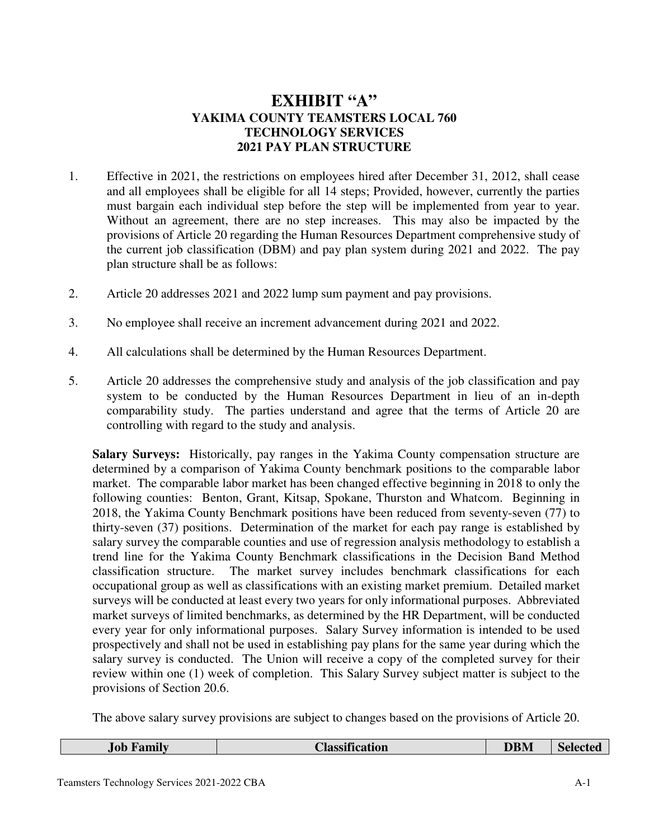#### **EXHIBIT "A" YAKIMA COUNTY TEAMSTERS LOCAL 760 TECHNOLOGY SERVICES 2021 PAY PLAN STRUCTURE**

- 1. Effective in 2021, the restrictions on employees hired after December 31, 2012, shall cease and all employees shall be eligible for all 14 steps; Provided, however, currently the parties must bargain each individual step before the step will be implemented from year to year. Without an agreement, there are no step increases. This may also be impacted by the provisions of Article 20 regarding the Human Resources Department comprehensive study of the current job classification (DBM) and pay plan system during 2021 and 2022. The pay plan structure shall be as follows:
- 2. Article 20 addresses 2021 and 2022 lump sum payment and pay provisions.
- 3. No employee shall receive an increment advancement during 2021 and 2022.
- 4. All calculations shall be determined by the Human Resources Department.
- 5. Article 20 addresses the comprehensive study and analysis of the job classification and pay system to be conducted by the Human Resources Department in lieu of an in-depth comparability study. The parties understand and agree that the terms of Article 20 are controlling with regard to the study and analysis.

**Salary Surveys:** Historically, pay ranges in the Yakima County compensation structure are determined by a comparison of Yakima County benchmark positions to the comparable labor market. The comparable labor market has been changed effective beginning in 2018 to only the following counties: Benton, Grant, Kitsap, Spokane, Thurston and Whatcom. Beginning in 2018, the Yakima County Benchmark positions have been reduced from seventy-seven (77) to thirty-seven (37) positions. Determination of the market for each pay range is established by salary survey the comparable counties and use of regression analysis methodology to establish a trend line for the Yakima County Benchmark classifications in the Decision Band Method classification structure. The market survey includes benchmark classifications for each occupational group as well as classifications with an existing market premium. Detailed market surveys will be conducted at least every two years for only informational purposes. Abbreviated market surveys of limited benchmarks, as determined by the HR Department, will be conducted every year for only informational purposes. Salary Survey information is intended to be used prospectively and shall not be used in establishing pay plans for the same year during which the salary survey is conducted. The Union will receive a copy of the completed survey for their review within one (1) week of completion. This Salary Survey subject matter is subject to the provisions of Section 20.6.

The above salary survey provisions are subject to changes based on the provisions of Article 20.

| .Job<br>ramily | <b>00 י</b><br>---<br><b>Alassification</b> | <b>DBM</b> |  |
|----------------|---------------------------------------------|------------|--|
|----------------|---------------------------------------------|------------|--|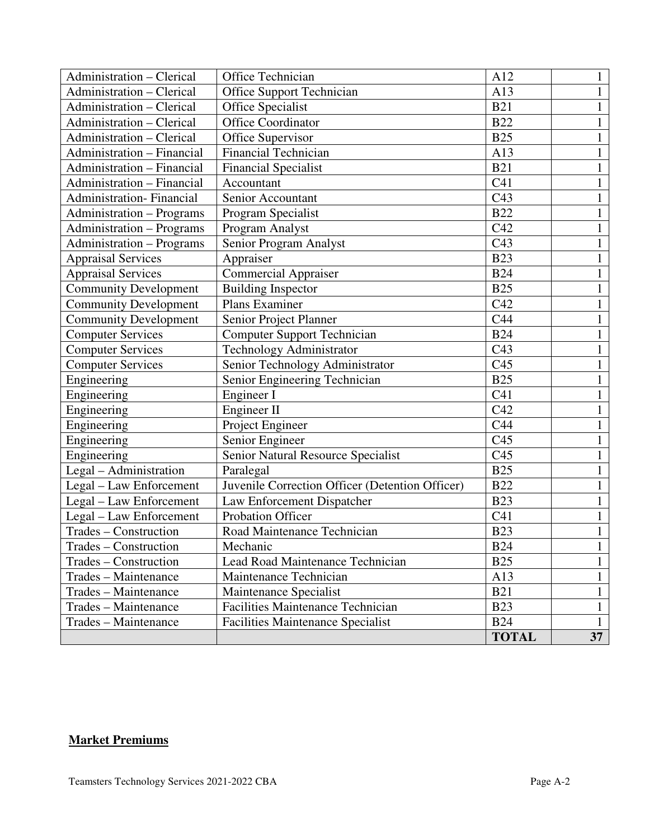| Administration - Clerical         | <b>Office Technician</b>                        | A12             | 1            |
|-----------------------------------|-------------------------------------------------|-----------------|--------------|
| Administration - Clerical         | <b>Office Support Technician</b>                | A13             | $\mathbf{1}$ |
| Administration - Clerical         | <b>Office Specialist</b>                        | <b>B21</b>      | $\mathbf{1}$ |
| Administration - Clerical         | <b>Office Coordinator</b>                       | <b>B22</b>      | $\mathbf{1}$ |
| Administration - Clerical         | Office Supervisor                               | <b>B25</b>      | 1            |
| <b>Administration - Financial</b> | <b>Financial Technician</b>                     | A13             | $\mathbf{1}$ |
| <b>Administration - Financial</b> | <b>Financial Specialist</b>                     | <b>B21</b>      | $\mathbf{1}$ |
| <b>Administration - Financial</b> | Accountant                                      | C <sub>41</sub> | $\mathbf{1}$ |
| Administration-Financial          | Senior Accountant                               | C43             | 1            |
| <b>Administration - Programs</b>  | Program Specialist                              | <b>B22</b>      | $\mathbf{1}$ |
| <b>Administration – Programs</b>  | Program Analyst                                 | C42             | $\mathbf{1}$ |
| Administration - Programs         | Senior Program Analyst                          | C43             | 1            |
| <b>Appraisal Services</b>         | Appraiser                                       | <b>B23</b>      | $\mathbf{1}$ |
| <b>Appraisal Services</b>         | <b>Commercial Appraiser</b>                     | <b>B24</b>      | 1            |
| <b>Community Development</b>      | <b>Building Inspector</b>                       | <b>B25</b>      | $\mathbf{1}$ |
| <b>Community Development</b>      | Plans Examiner                                  | C42             | $\mathbf{1}$ |
| <b>Community Development</b>      | Senior Project Planner                          | C44             | $\mathbf{1}$ |
| <b>Computer Services</b>          | <b>Computer Support Technician</b>              | <b>B24</b>      | $\mathbf{1}$ |
| <b>Computer Services</b>          | <b>Technology Administrator</b>                 | C43             | $\mathbf{1}$ |
| <b>Computer Services</b>          | Senior Technology Administrator                 | C <sub>45</sub> | $\mathbf{1}$ |
| Engineering                       | Senior Engineering Technician                   | <b>B25</b>      | $\mathbf{1}$ |
| Engineering                       | Engineer I                                      | C <sub>41</sub> | $\mathbf{1}$ |
| Engineering                       | Engineer II                                     | C42             | $\mathbf{1}$ |
| Engineering                       | Project Engineer                                | C44             | $\mathbf{1}$ |
| Engineering                       | Senior Engineer                                 | C <sub>45</sub> | $\mathbf 1$  |
| Engineering                       | Senior Natural Resource Specialist              | C <sub>45</sub> | $\mathbf{1}$ |
| Legal - Administration            | Paralegal                                       | <b>B25</b>      | 1            |
| Legal - Law Enforcement           | Juvenile Correction Officer (Detention Officer) | <b>B22</b>      | $\mathbf{1}$ |
| Legal - Law Enforcement           | Law Enforcement Dispatcher                      | <b>B23</b>      | 1            |
| Legal - Law Enforcement           | Probation Officer                               | C <sub>41</sub> | $\mathbf{1}$ |
| Trades - Construction             | Road Maintenance Technician                     | <b>B23</b>      | 1            |
| Trades - Construction             | Mechanic                                        | <b>B24</b>      | $\mathbf{I}$ |
| Trades – Construction             | Lead Road Maintenance Technician                | <b>B25</b>      | $\mathbf{1}$ |
| Trades – Maintenance              | Maintenance Technician                          | A13             | $\mathbf{1}$ |
| Trades – Maintenance              | Maintenance Specialist                          | <b>B21</b>      | 1            |
| Trades - Maintenance              | <b>Facilities Maintenance Technician</b>        | <b>B23</b>      | $\mathbf{1}$ |
| Trades – Maintenance              | <b>Facilities Maintenance Specialist</b>        | <b>B24</b>      | $\mathbf{1}$ |
|                                   |                                                 | <b>TOTAL</b>    | 37           |

#### **Market Premiums**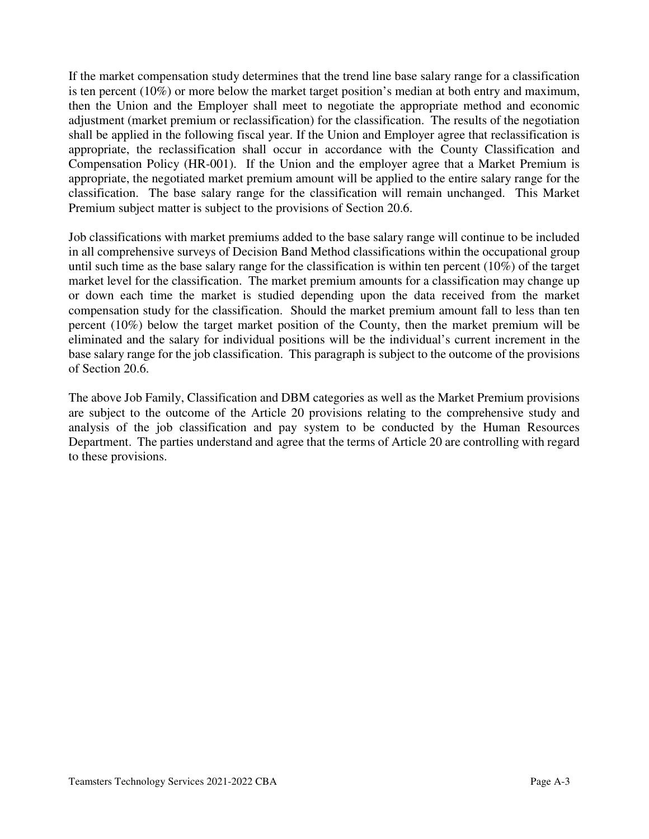If the market compensation study determines that the trend line base salary range for a classification is ten percent (10%) or more below the market target position's median at both entry and maximum, then the Union and the Employer shall meet to negotiate the appropriate method and economic adjustment (market premium or reclassification) for the classification. The results of the negotiation shall be applied in the following fiscal year. If the Union and Employer agree that reclassification is appropriate, the reclassification shall occur in accordance with the County Classification and Compensation Policy (HR-001). If the Union and the employer agree that a Market Premium is appropriate, the negotiated market premium amount will be applied to the entire salary range for the classification. The base salary range for the classification will remain unchanged. This Market Premium subject matter is subject to the provisions of Section 20.6.

Job classifications with market premiums added to the base salary range will continue to be included in all comprehensive surveys of Decision Band Method classifications within the occupational group until such time as the base salary range for the classification is within ten percent (10%) of the target market level for the classification. The market premium amounts for a classification may change up or down each time the market is studied depending upon the data received from the market compensation study for the classification. Should the market premium amount fall to less than ten percent (10%) below the target market position of the County, then the market premium will be eliminated and the salary for individual positions will be the individual's current increment in the base salary range for the job classification. This paragraph is subject to the outcome of the provisions of Section 20.6.

The above Job Family, Classification and DBM categories as well as the Market Premium provisions are subject to the outcome of the Article 20 provisions relating to the comprehensive study and analysis of the job classification and pay system to be conducted by the Human Resources Department. The parties understand and agree that the terms of Article 20 are controlling with regard to these provisions.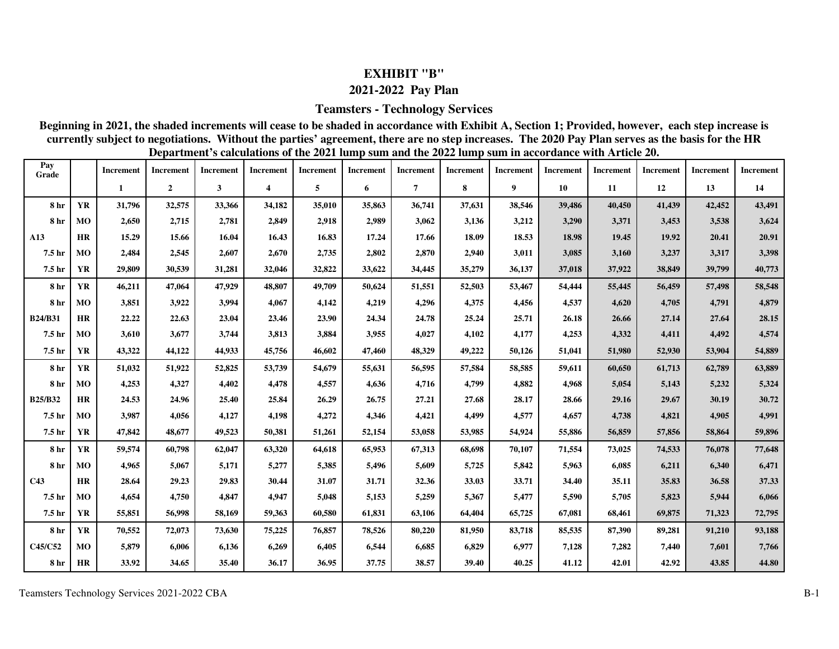#### **EXHIBIT "B"**

#### **2021-2022 Pay Plan**

#### **Teamsters - Technology Services**

**Beginning in 2021, the shaded increments will cease to be shaded in accordance with Exhibit A, Section 1; Provided, however, each step increase is currently subject to negotiations. Without the parties' agreement, there are no step increases. The 2020 Pay Plan serves as the basis for the HR Department's calculations of the 2021 lump sum and the 2022 lump sum in accordance with Article 20.** 

| Pay<br>Grade    |           | Increment    | <b>Increment</b> | Increment | Increment               | <b>Increment</b> | Increment | Increment      | Increment | <b>Increment</b> | <b>Increment</b> | Increment | <b>Increment</b> | <b>Increment</b> | Increment |
|-----------------|-----------|--------------|------------------|-----------|-------------------------|------------------|-----------|----------------|-----------|------------------|------------------|-----------|------------------|------------------|-----------|
|                 |           | $\mathbf{1}$ | $\overline{2}$   | 3         | $\overline{\mathbf{4}}$ | 5                | 6         | $\overline{7}$ | 8         | 9                | 10               | 11        | 12               | 13               | 14        |
| 8 hr            | YR        | 31,796       | 32,575           | 33,366    | 34,182                  | 35,010           | 35,863    | 36,741         | 37,631    | 38,546           | 39,486           | 40,450    | 41,439           | 42,452           | 43,491    |
| 8 <sub>hr</sub> | <b>MO</b> | 2,650        | 2,715            | 2,781     | 2,849                   | 2,918            | 2,989     | 3,062          | 3,136     | 3,212            | 3,290            | 3,371     | 3,453            | 3,538            | 3,624     |
| A13             | HR        | 15.29        | 15.66            | 16.04     | 16.43                   | 16.83            | 17.24     | 17.66          | 18.09     | 18.53            | 18.98            | 19.45     | 19.92            | 20.41            | 20.91     |
| 7.5 hr          | MO        | 2,484        | 2,545            | 2,607     | 2,670                   | 2,735            | 2,802     | 2,870          | 2,940     | 3,011            | 3,085            | 3,160     | 3,237            | 3,317            | 3,398     |
| 7.5 hr          | YR        | 29,809       | 30,539           | 31,281    | 32,046                  | 32,822           | 33,622    | 34,445         | 35,279    | 36,137           | 37,018           | 37,922    | 38,849           | 39,799           | 40,773    |
| 8 <sub>hr</sub> | <b>YR</b> | 46,211       | 47,064           | 47,929    | 48,807                  | 49,709           | 50,624    | 51,551         | 52,503    | 53,467           | 54,444           | 55,445    | 56,459           | 57,498           | 58,548    |
| 8 <sub>hr</sub> | MO        | 3,851        | 3,922            | 3,994     | 4,067                   | 4,142            | 4,219     | 4,296          | 4,375     | 4,456            | 4,537            | 4,620     | 4,705            | 4,791            | 4,879     |
| <b>B24/B31</b>  | <b>HR</b> | 22.22        | 22.63            | 23.04     | 23.46                   | 23.90            | 24.34     | 24.78          | 25.24     | 25.71            | 26.18            | 26.66     | 27.14            | 27.64            | 28.15     |
| 7.5 hr          | MO        | 3,610        | 3,677            | 3,744     | 3,813                   | 3,884            | 3,955     | 4,027          | 4,102     | 4,177            | 4,253            | 4,332     | 4,411            | 4,492            | 4,574     |
| 7.5 hr          | <b>YR</b> | 43,322       | 44,122           | 44,933    | 45,756                  | 46,602           | 47,460    | 48,329         | 49,222    | 50,126           | 51,041           | 51,980    | 52,930           | 53,904           | 54,889    |
| 8 hr            | <b>YR</b> | 51,032       | 51,922           | 52,825    | 53,739                  | 54,679           | 55,631    | 56,595         | 57,584    | 58,585           | 59,611           | 60,650    | 61,713           | 62,789           | 63,889    |
| 8 hr            | MO        | 4,253        | 4,327            | 4,402     | 4,478                   | 4,557            | 4,636     | 4,716          | 4,799     | 4,882            | 4,968            | 5,054     | 5,143            | 5,232            | 5,324     |
| <b>B25/B32</b>  | <b>HR</b> | 24.53        | 24.96            | 25.40     | 25.84                   | 26.29            | 26.75     | 27.21          | 27.68     | 28.17            | 28.66            | 29.16     | 29.67            | 30.19            | 30.72     |
| 7.5 hr          | MO        | 3,987        | 4,056            | 4,127     | 4,198                   | 4,272            | 4,346     | 4,421          | 4,499     | 4,577            | 4,657            | 4,738     | 4,821            | 4,905            | 4,991     |
| 7.5 hr          | <b>YR</b> | 47,842       | 48,677           | 49,523    | 50,381                  | 51,261           | 52,154    | 53,058         | 53,985    | 54,924           | 55,886           | 56,859    | 57,856           | 58,864           | 59,896    |
| 8 <sub>hr</sub> | YR        | 59,574       | 60,798           | 62,047    | 63,320                  | 64,618           | 65,953    | 67,313         | 68,698    | 70,107           | 71,554           | 73,025    | 74,533           | 76,078           | 77,648    |
| 8 hr            | MO        | 4,965        | 5,067            | 5,171     | 5,277                   | 5,385            | 5,496     | 5,609          | 5,725     | 5,842            | 5,963            | 6,085     | 6,211            | 6,340            | 6,471     |
| C43             | <b>HR</b> | 28.64        | 29.23            | 29.83     | 30.44                   | 31.07            | 31.71     | 32.36          | 33.03     | 33.71            | 34.40            | 35.11     | 35.83            | 36.58            | 37.33     |
| 7.5 hr          | MO        | 4,654        | 4,750            | 4,847     | 4,947                   | 5,048            | 5,153     | 5,259          | 5,367     | 5,477            | 5,590            | 5,705     | 5,823            | 5,944            | 6,066     |
| 7.5 hr          | <b>YR</b> | 55,851       | 56,998           | 58,169    | 59,363                  | 60,580           | 61,831    | 63,106         | 64,404    | 65,725           | 67,081           | 68,461    | 69,875           | 71,323           | 72,795    |
| 8 hr            | <b>YR</b> | 70,552       | 72,073           | 73,630    | 75,225                  | 76,857           | 78,526    | 80,220         | 81,950    | 83,718           | 85,535           | 87,390    | 89,281           | 91,210           | 93,188    |
| C45/C52         | MO        | 5,879        | 6,006            | 6,136     | 6,269                   | 6,405            | 6,544     | 6,685          | 6,829     | 6,977            | 7,128            | 7,282     | 7,440            | 7,601            | 7,766     |
| <b>8</b> hr     | HR        | 33.92        | 34.65            | 35.40     | 36.17                   | 36.95            | 37.75     | 38.57          | 39.40     | 40.25            | 41.12            | 42.01     | 42.92            | 43.85            | 44.80     |